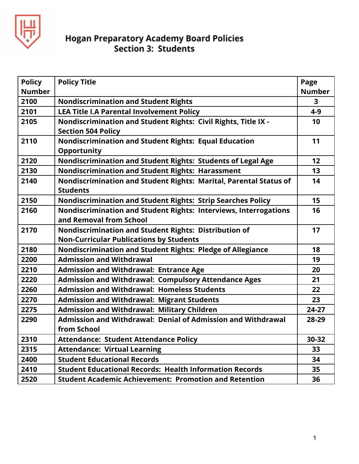

| <b>Policy</b> | <b>Policy Title</b>                                                                                     | Page          |
|---------------|---------------------------------------------------------------------------------------------------------|---------------|
| <b>Number</b> |                                                                                                         | <b>Number</b> |
| 2100          | <b>Nondiscrimination and Student Rights</b>                                                             | 3             |
| 2101          | <b>LEA Title I.A Parental Involvement Policy</b>                                                        | $4 - 9$       |
| 2105          | Nondiscrimination and Student Rights: Civil Rights, Title IX -<br><b>Section 504 Policy</b>             | 10            |
| 2110          | Nondiscrimination and Student Rights: Equal Education<br><b>Opportunity</b>                             | 11            |
| 2120          | Nondiscrimination and Student Rights: Students of Legal Age                                             | 12            |
| 2130          | <b>Nondiscrimination and Student Rights: Harassment</b>                                                 | 13            |
| 2140          | Nondiscrimination and Student Rights: Marital, Parental Status of<br><b>Students</b>                    | 14            |
| 2150          | <b>Nondiscrimination and Student Rights: Strip Searches Policy</b>                                      | 15            |
| 2160          | Nondiscrimination and Student Rights: Interviews, Interrogations<br>and Removal from School             | 16            |
| 2170          | Nondiscrimination and Student Rights: Distribution of<br><b>Non-Curricular Publications by Students</b> | 17            |
| 2180          | Nondiscrimination and Student Rights: Pledge of Allegiance                                              | 18            |
| 2200          | <b>Admission and Withdrawal</b>                                                                         | 19            |
| 2210          | <b>Admission and Withdrawal: Entrance Age</b>                                                           | 20            |
| 2220          | <b>Admission and Withdrawal: Compulsory Attendance Ages</b>                                             | 21            |
| 2260          | <b>Admission and Withdrawal: Homeless Students</b>                                                      | 22            |
| 2270          | <b>Admission and Withdrawal: Migrant Students</b>                                                       | 23            |
| 2275          | <b>Admission and Withdrawal: Military Children</b>                                                      | 24-27         |
| 2290          | Admission and Withdrawal: Denial of Admission and Withdrawal                                            | 28-29         |
|               | from School                                                                                             |               |
| 2310          | <b>Attendance: Student Attendance Policy</b>                                                            | 30-32         |
| 2315          | <b>Attendance: Virtual Learning</b>                                                                     | 33            |
| 2400          | <b>Student Educational Records</b>                                                                      | 34            |
| 2410          | <b>Student Educational Records: Health Information Records</b>                                          | 35            |
| 2520          | <b>Student Academic Achievement: Promotion and Retention</b>                                            | 36            |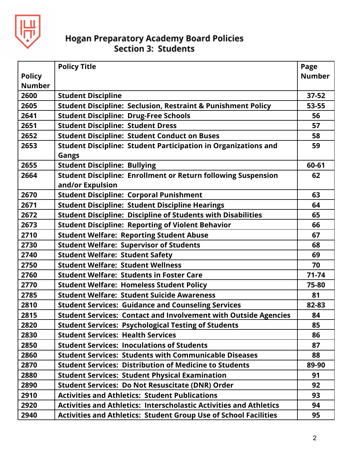

|               | <b>Policy Title</b>                                                       | Page          |
|---------------|---------------------------------------------------------------------------|---------------|
| <b>Policy</b> |                                                                           | <b>Number</b> |
| <b>Number</b> |                                                                           |               |
| 2600          | <b>Student Discipline</b>                                                 | $37 - 52$     |
| 2605          | <b>Student Discipline: Seclusion, Restraint &amp; Punishment Policy</b>   | 53-55         |
| 2641          | <b>Student Discipline: Drug-Free Schools</b>                              | 56            |
| 2651          | <b>Student Discipline: Student Dress</b>                                  | 57            |
| 2652          | <b>Student Discipline: Student Conduct on Buses</b>                       | 58            |
| 2653          | <b>Student Discipline: Student Participation in Organizations and</b>     | 59            |
|               | <b>Gangs</b>                                                              |               |
| 2655          | <b>Student Discipline: Bullying</b>                                       | 60-61         |
| 2664          | <b>Student Discipline: Enrollment or Return following Suspension</b>      | 62            |
|               | and/or Expulsion                                                          |               |
| 2670          | <b>Student Discipline: Corporal Punishment</b>                            | 63            |
| 2671          | <b>Student Discipline: Student Discipline Hearings</b>                    | 64            |
| 2672          | <b>Student Discipline: Discipline of Students with Disabilities</b>       | 65            |
| 2673          | <b>Student Discipline: Reporting of Violent Behavior</b>                  | 66            |
| 2710          | <b>Student Welfare: Reporting Student Abuse</b>                           | 67            |
| 2730          | <b>Student Welfare: Supervisor of Students</b>                            | 68            |
| 2740          | <b>Student Welfare: Student Safety</b>                                    | 69            |
| 2750          | <b>Student Welfare: Student Wellness</b>                                  | 70            |
| 2760          | <b>Student Welfare: Students in Foster Care</b>                           | $71 - 74$     |
| 2770          | <b>Student Welfare: Homeless Student Policy</b>                           | 75-80         |
| 2785          | <b>Student Welfare: Student Suicide Awareness</b>                         | 81            |
| 2810          | <b>Student Services: Guidance and Counseling Services</b>                 | 82-83         |
| 2815          | <b>Student Services: Contact and Involvement with Outside Agencies</b>    | 84            |
| 2820          | <b>Student Services: Psychological Testing of Students</b>                | 85            |
| 2830          | <b>Student Services: Health Services</b>                                  | 86            |
| 2850          | <b>Student Services: Inoculations of Students</b>                         | 87            |
| 2860          | <b>Student Services: Students with Communicable Diseases</b>              | 88            |
| 2870          | <b>Student Services: Distribution of Medicine to Students</b>             | 89-90         |
| 2880          | <b>Student Services: Student Physical Examination</b>                     | 91            |
| 2890          | <b>Student Services: Do Not Resuscitate (DNR) Order</b>                   | 92            |
| 2910          | <b>Activities and Athletics: Student Publications</b>                     | 93            |
| 2920          | <b>Activities and Athletics: Interscholastic Activities and Athletics</b> | 94            |
| 2940          | <b>Activities and Athletics: Student Group Use of School Facilities</b>   | 95            |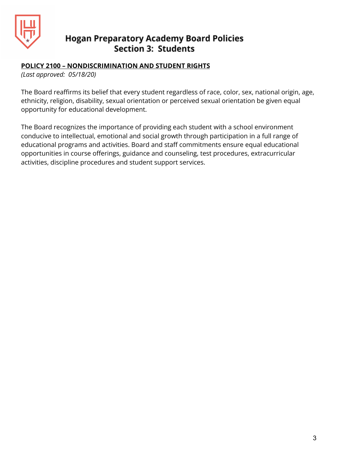

#### **POLICY 2100 – NONDISCRIMINATION AND STUDENT RIGHTS**

*(Last approved: 05/18/20)*

The Board reaffirms its belief that every student regardless of race, color, sex, national origin, age, ethnicity, religion, disability, sexual orientation or perceived sexual orientation be given equal opportunity for educational development.

The Board recognizes the importance of providing each student with a school environment conducive to intellectual, emotional and social growth through participation in a full range of educational programs and activities. Board and staff commitments ensure equal educational opportunities in course offerings, guidance and counseling, test procedures, extracurricular activities, discipline procedures and student support services.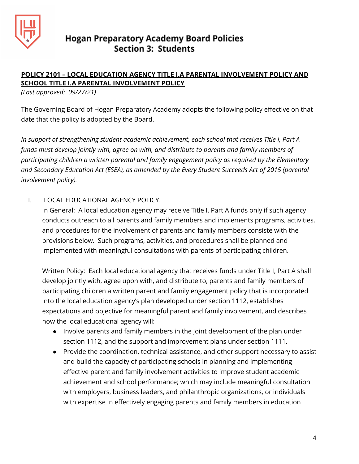

## **POLICY 2101 – LOCAL EDUCATION AGENCY TITLE I.A PARENTAL INVOLVEMENT POLICY AND SCHOOL TITLE I.A PARENTAL INVOLVEMENT POLICY**

*(Last approved: 09/27/21)*

The Governing Board of Hogan Preparatory Academy adopts the following policy effective on that date that the policy is adopted by the Board.

*In support of strengthening student academic achievement, each school that receives Title I, Part A funds must develop jointly with, agree on with, and distribute to parents and family members of participating children a written parental and family engagement policy as required by the Elementary and Secondary Education Act (ESEA), as amended by the Every Student Succeeds Act of 2015 (parental involvement policy).*

I. LOCAL EDUCATIONAL AGENCY POLICY.

In General: A local education agency may receive Title I, Part A funds only if such agency conducts outreach to all parents and family members and implements programs, activities, and procedures for the involvement of parents and family members consiste with the provisions below. Such programs, activities, and procedures shall be planned and implemented with meaningful consultations with parents of participating children.

Written Policy: Each local educational agency that receives funds under Title I, Part A shall develop jointly with, agree upon with, and distribute to, parents and family members of participating children a written parent and family engagement policy that is incorporated into the local education agency's plan developed under section 1112, establishes expectations and objective for meaningful parent and family involvement, and describes how the local educational agency will:

- Involve parents and family members in the joint development of the plan under section 1112, and the support and improvement plans under section 1111.
- Provide the coordination, technical assistance, and other support necessary to assist and build the capacity of participating schools in planning and implementing effective parent and family involvement activities to improve student academic achievement and school performance; which may include meaningful consultation with employers, business leaders, and philanthropic organizations, or individuals with expertise in effectively engaging parents and family members in education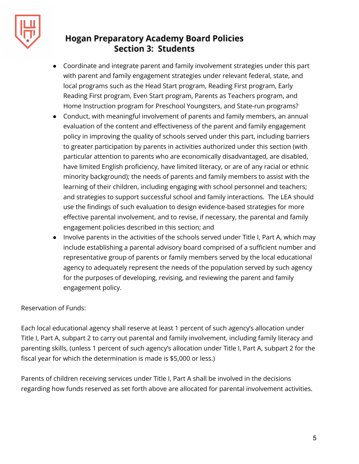

- Coordinate and integrate parent and family involvement strategies under this part with parent and family engagement strategies under relevant federal, state, and local programs such as the Head Start program, Reading First program, Early Reading First program, Even Start program, Parents as Teachers program, and Home Instruction program for Preschool Youngsters, and State-run programs?
- Conduct, with meaningful involvement of parents and family members, an annual evaluation of the content and effectiveness of the parent and family engagement policy in improving the quality of schools served under this part, including barriers to greater participation by parents in activities authorized under this section (with particular attention to parents who are economically disadvantaged, are disabled, have limited English proficiency, have limited literacy, or are of any racial or ethnic minority background); the needs of parents and family members to assist with the learning of their children, including engaging with school personnel and teachers; and strategies to support successful school and family interactions. The LEA should use the findings of such evaluation to design evidence-based strategies for more effective parental involvement, and to revise, if necessary, the parental and family engagement policies described in this section; and
- Involve parents in the activities of the schools served under Title I, Part A, which may include establishing a parental advisory board comprised of a sufficient number and representative group of parents or family members served by the local educational agency to adequately represent the needs of the population served by such agency for the purposes of developing, revising, and reviewing the parent and family engagement policy.

## Reservation of Funds:

Each local educational agency shall reserve at least 1 percent of such agency's allocation under Title I, Part A, subpart 2 to carry out parental and family involvement, including family literacy and parenting skills, (unless 1 percent of such agency's allocation under Title I, Part A, subpart 2 for the fiscal year for which the determination is made is \$5,000 or less.)

Parents of children receiving services under Title I, Part A shall be involved in the decisions regarding how funds reserved as set forth above are allocated for parental involvement activities.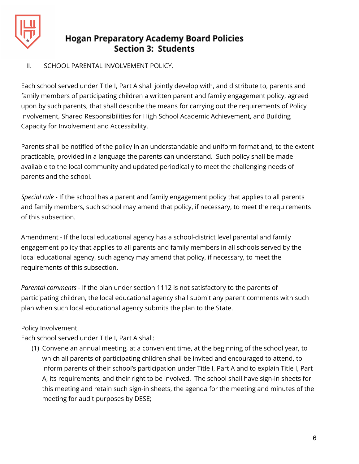

## II. SCHOOL PARENTAL INVOLVEMENT POLICY.

Each school served under Title I, Part A shall jointly develop with, and distribute to, parents and family members of participating children a written parent and family engagement policy, agreed upon by such parents, that shall describe the means for carrying out the requirements of Policy Involvement, Shared Responsibilities for High School Academic Achievement, and Building Capacity for Involvement and Accessibility.

Parents shall be notified of the policy in an understandable and uniform format and, to the extent practicable, provided in a language the parents can understand. Such policy shall be made available to the local community and updated periodically to meet the challenging needs of parents and the school.

*Special rule* - If the school has a parent and family engagement policy that applies to all parents and family members, such school may amend that policy, if necessary, to meet the requirements of this subsection.

Amendment - If the local educational agency has a school-district level parental and family engagement policy that applies to all parents and family members in all schools served by the local educational agency, such agency may amend that policy, if necessary, to meet the requirements of this subsection.

*Parental comments* - If the plan under section 1112 is not satisfactory to the parents of participating children, the local educational agency shall submit any parent comments with such plan when such local educational agency submits the plan to the State.

## Policy Involvement.

Each school served under Title I, Part A shall:

(1) Convene an annual meeting, at a convenient time, at the beginning of the school year, to which all parents of participating children shall be invited and encouraged to attend, to inform parents of their school's participation under Title I, Part A and to explain Title I, Part A, its requirements, and their right to be involved. The school shall have sign-in sheets for this meeting and retain such sign-in sheets, the agenda for the meeting and minutes of the meeting for audit purposes by DESE;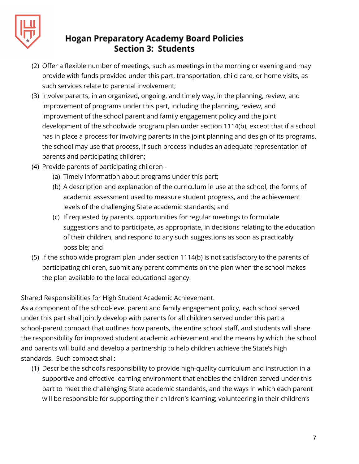

- (2) Offer a flexible number of meetings, such as meetings in the morning or evening and may provide with funds provided under this part, transportation, child care, or home visits, as such services relate to parental involvement;
- (3) Involve parents, in an organized, ongoing, and timely way, in the planning, review, and improvement of programs under this part, including the planning, review, and improvement of the school parent and family engagement policy and the joint development of the schoolwide program plan under section 1114(b), except that if a school has in place a process for involving parents in the joint planning and design of its programs, the school may use that process, if such process includes an adequate representation of parents and participating children;
- (4) Provide parents of participating children
	- (a) Timely information about programs under this part;
	- (b) A description and explanation of the curriculum in use at the school, the forms of academic assessment used to measure student progress, and the achievement levels of the challenging State academic standards; and
	- (c) If requested by parents, opportunities for regular meetings to formulate suggestions and to participate, as appropriate, in decisions relating to the education of their children, and respond to any such suggestions as soon as practicably possible; and
- (5) If the schoolwide program plan under section 1114(b) is not satisfactory to the parents of participating children, submit any parent comments on the plan when the school makes the plan available to the local educational agency.

Shared Responsibilities for High Student Academic Achievement.

As a component of the school-level parent and family engagement policy, each school served under this part shall jointly develop with parents for all children served under this part a school-parent compact that outlines how parents, the entire school staff, and students will share the responsibility for improved student academic achievement and the means by which the school and parents will build and develop a partnership to help children achieve the State's high standards. Such compact shall:

(1) Describe the school's responsibility to provide high-quality curriculum and instruction in a supportive and effective learning environment that enables the children served under this part to meet the challenging State academic standards, and the ways in which each parent will be responsible for supporting their children's learning; volunteering in their children's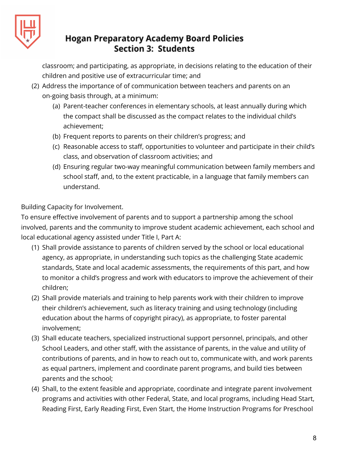

classroom; and participating, as appropriate, in decisions relating to the education of their children and positive use of extracurricular time; and

- (2) Address the importance of of communication between teachers and parents on an on-going basis through, at a minimum:
	- (a) Parent-teacher conferences in elementary schools, at least annually during which the compact shall be discussed as the compact relates to the individual child's achievement;
	- (b) Frequent reports to parents on their children's progress; and
	- (c) Reasonable access to staff, opportunities to volunteer and participate in their child's class, and observation of classroom activities; and
	- (d) Ensuring regular two-way meaningful communication between family members and school staff, and, to the extent practicable, in a language that family members can understand.

## Building Capacity for Involvement.

To ensure effective involvement of parents and to support a partnership among the school involved, parents and the community to improve student academic achievement, each school and local educational agency assisted under Title I, Part A:

- (1) Shall provide assistance to parents of children served by the school or local educational agency, as appropriate, in understanding such topics as the challenging State academic standards, State and local academic assessments, the requirements of this part, and how to monitor a child's progress and work with educators to improve the achievement of their children;
- (2) Shall provide materials and training to help parents work with their children to improve their children's achievement, such as literacy training and using technology (including education about the harms of copyright piracy), as appropriate, to foster parental involvement;
- (3) Shall educate teachers, specialized instructional support personnel, principals, and other School Leaders, and other staff, with the assistance of parents, in the value and utility of contributions of parents, and in how to reach out to, communicate with, and work parents as equal partners, implement and coordinate parent programs, and build ties between parents and the school;
- (4) Shall, to the extent feasible and appropriate, coordinate and integrate parent involvement programs and activities with other Federal, State, and local programs, including Head Start, Reading First, Early Reading First, Even Start, the Home Instruction Programs for Preschool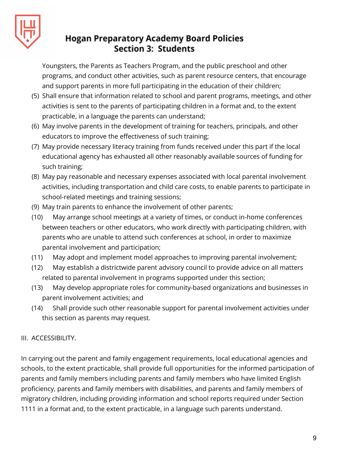

Youngsters, the Parents as Teachers Program, and the public preschool and other programs, and conduct other activities, such as parent resource centers, that encourage and support parents in more full participating in the education of their children;

- (5) Shall ensure that information related to school and parent programs, meetings, and other activities is sent to the parents of participating children in a format and, to the extent practicable, in a language the parents can understand;
- (6) May involve parents in the development of training for teachers, principals, and other educators to improve the effectiveness of such training;
- (7) May provide necessary literacy training from funds received under this part if the local educational agency has exhausted all other reasonably available sources of funding for such training;
- (8) May pay reasonable and necessary expenses associated with local parental involvement activities, including transportation and child care costs, to enable parents to participate in school-related meetings and training sessions;
- (9) May train parents to enhance the involvement of other parents;
- (10) May arrange school meetings at a variety of times, or conduct in-home conferences between teachers or other educators, who work directly with participating children, with parents who are unable to attend such conferences at school, in order to maximize parental involvement and participation;
- (11) May adopt and implement model approaches to improving parental involvement;
- (12) May establish a districtwide parent advisory council to provide advice on all matters related to parental involvement in programs supported under this section;
- (13) May develop appropriate roles for community-based organizations and businesses in parent involvement activities; and
- (14) Shall provide such other reasonable support for parental involvement activities under this section as parents may request.

## III. ACCESSIBILITY.

In carrying out the parent and family engagement requirements, local educational agencies and schools, to the extent practicable, shall provide full opportunities for the informed participation of parents and family members including parents and family members who have limited English proficiency, parents and family members with disabilities, and parents and family members of migratory children, including providing information and school reports required under Section 1111 in a format and, to the extent practicable, in a language such parents understand.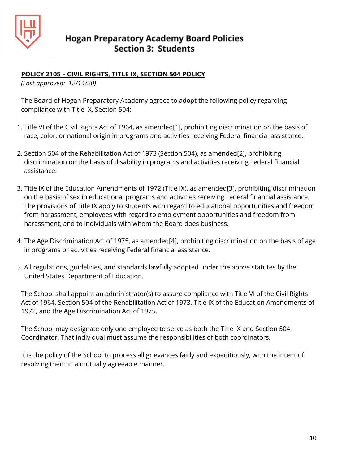

## **POLICY 2105 – CIVIL RIGHTS, TITLE IX, SECTION 504 POLICY**

*(Last approved: 12/14/20)*

The Board of Hogan Preparatory Academy agrees to adopt the following policy regarding compliance with Title IX, Section 504:

- 1. Title VI of the Civil Rights Act of 1964, as amended[1], prohibiting discrimination on the basis of race, color, or national origin in programs and activities receiving Federal financial assistance.
- 2. Section 504 of the Rehabilitation Act of 1973 (Section 504), as amended[2], prohibiting discrimination on the basis of disability in programs and activities receiving Federal financial assistance.
- 3. Title IX of the Education Amendments of 1972 (Title IX), as amended[3], prohibiting discrimination on the basis of sex in educational programs and activities receiving Federal financial assistance. The provisions of Title IX apply to students with regard to educational opportunities and freedom from harassment, employees with regard to employment opportunities and freedom from harassment, and to individuals with whom the Board does business.
- 4. The Age Discrimination Act of 1975, as amended[4], prohibiting discrimination on the basis of age in programs or activities receiving Federal financial assistance.
- 5. All regulations, guidelines, and standards lawfully adopted under the above statutes by the United States Department of Education.

The School shall appoint an administrator(s) to assure compliance with Title VI of the Civil Rights Act of 1964, Section 504 of the Rehabilitation Act of 1973, Title IX of the Education Amendments of 1972, and the Age Discrimination Act of 1975.

The School may designate only one employee to serve as both the Title IX and Section 504 Coordinator. That individual must assume the responsibilities of both coordinators.

It is the policy of the School to process all grievances fairly and expeditiously, with the intent of resolving them in a mutually agreeable manner.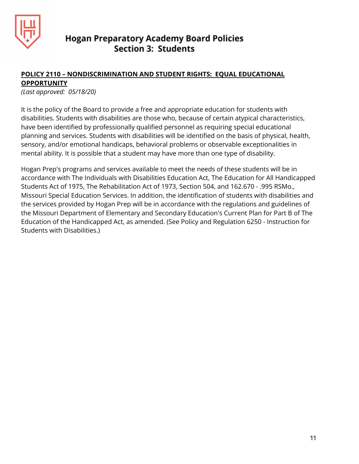

#### **POLICY 2110 – NONDISCRIMINATION AND STUDENT RIGHTS: EQUAL EDUCATIONAL OPPORTUNITY**

*(Last approved: 05/18/20)*

It is the policy of the Board to provide a free and appropriate education for students with disabilities. Students with disabilities are those who, because of certain atypical characteristics, have been identified by professionally qualified personnel as requiring special educational planning and services. Students with disabilities will be identified on the basis of physical, health, sensory, and/or emotional handicaps, behavioral problems or observable exceptionalities in mental ability. It is possible that a student may have more than one type of disability.

Hogan Prep's programs and services available to meet the needs of these students will be in accordance with The Individuals with Disabilities Education Act, The Education for All Handicapped Students Act of 1975, The Rehabilitation Act of 1973, Section 504, and 162.670 - .995 RSMo., Missouri Special Education Services. In addition, the identification of students with disabilities and the services provided by Hogan Prep will be in accordance with the regulations and guidelines of the Missouri Department of Elementary and Secondary Education's Current Plan for Part B of The Education of the Handicapped Act, as amended. (See Policy and Regulation 6250 - Instruction for Students with Disabilities.)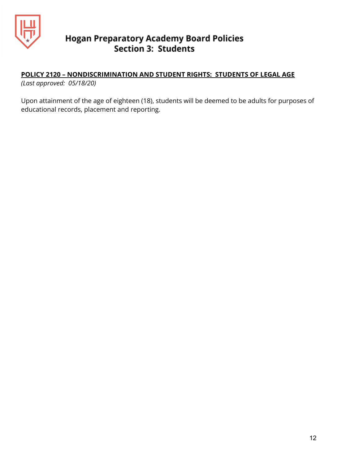

## **POLICY 2120 – NONDISCRIMINATION AND STUDENT RIGHTS: STUDENTS OF LEGAL AGE**

*(Last approved: 05/18/20)*

Upon attainment of the age of eighteen (18), students will be deemed to be adults for purposes of educational records, placement and reporting.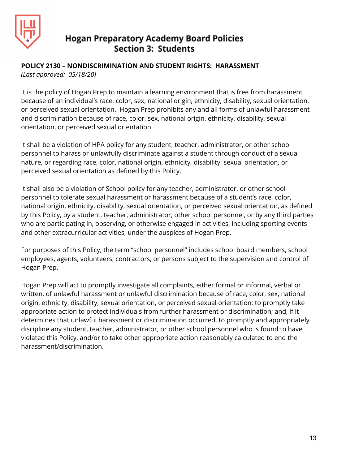

#### **POLICY 2130 – NONDISCRIMINATION AND STUDENT RIGHTS: HARASSMENT**

*(Last approved: 05/18/20)*

It is the policy of Hogan Prep to maintain a learning environment that is free from harassment because of an individual's race, color, sex, national origin, ethnicity, disability, sexual orientation, or perceived sexual orientation. Hogan Prep prohibits any and all forms of unlawful harassment and discrimination because of race, color, sex, national origin, ethnicity, disability, sexual orientation, or perceived sexual orientation.

It shall be a violation of HPA policy for any student, teacher, administrator, or other school personnel to harass or unlawfully discriminate against a student through conduct of a sexual nature, or regarding race, color, national origin, ethnicity, disability, sexual orientation, or perceived sexual orientation as defined by this Policy.

It shall also be a violation of School policy for any teacher, administrator, or other school personnel to tolerate sexual harassment or harassment because of a student's race, color, national origin, ethnicity, disability, sexual orientation, or perceived sexual orientation, as defined by this Policy, by a student, teacher, administrator, other school personnel, or by any third parties who are participating in, observing, or otherwise engaged in activities, including sporting events and other extracurricular activities, under the auspices of Hogan Prep.

For purposes of this Policy, the term "school personnel" includes school board members, school employees, agents, volunteers, contractors, or persons subject to the supervision and control of Hogan Prep.

Hogan Prep will act to promptly investigate all complaints, either formal or informal, verbal or written, of unlawful harassment or unlawful discrimination because of race, color, sex, national origin, ethnicity, disability, sexual orientation, or perceived sexual orientation; to promptly take appropriate action to protect individuals from further harassment or discrimination; and, if it determines that unlawful harassment or discrimination occurred, to promptly and appropriately discipline any student, teacher, administrator, or other school personnel who is found to have violated this Policy, and/or to take other appropriate action reasonably calculated to end the harassment/discrimination.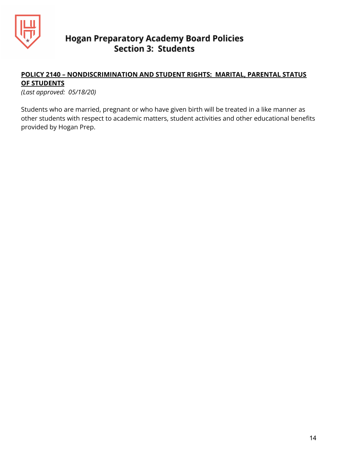

## **POLICY 2140 – NONDISCRIMINATION AND STUDENT RIGHTS: MARITAL, PARENTAL STATUS OF STUDENTS**

*(Last approved: 05/18/20)*

Students who are married, pregnant or who have given birth will be treated in a like manner as other students with respect to academic matters, student activities and other educational benefits provided by Hogan Prep.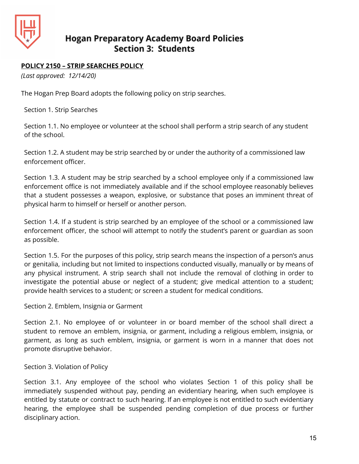

## **POLICY 2150 – STRIP SEARCHES POLICY**

*(Last approved: 12/14/20)*

The Hogan Prep Board adopts the following policy on strip searches.

Section 1. Strip Searches

Section 1.1. No employee or volunteer at the school shall perform a strip search of any student of the school.

Section 1.2. A student may be strip searched by or under the authority of a commissioned law enforcement officer.

Section 1.3. A student may be strip searched by a school employee only if a commissioned law enforcement office is not immediately available and if the school employee reasonably believes that a student possesses a weapon, explosive, or substance that poses an imminent threat of physical harm to himself or herself or another person.

Section 1.4. If a student is strip searched by an employee of the school or a commissioned law enforcement officer, the school will attempt to notify the student's parent or guardian as soon as possible.

Section 1.5. For the purposes of this policy, strip search means the inspection of a person's anus or genitalia, including but not limited to inspections conducted visually, manually or by means of any physical instrument. A strip search shall not include the removal of clothing in order to investigate the potential abuse or neglect of a student; give medical attention to a student; provide health services to a student; or screen a student for medical conditions.

Section 2. Emblem, Insignia or Garment

Section 2.1. No employee of or volunteer in or board member of the school shall direct a student to remove an emblem, insignia, or garment, including a religious emblem, insignia, or garment, as long as such emblem, insignia, or garment is worn in a manner that does not promote disruptive behavior.

Section 3. Violation of Policy

Section 3.1. Any employee of the school who violates Section 1 of this policy shall be immediately suspended without pay, pending an evidentiary hearing, when such employee is entitled by statute or contract to such hearing. If an employee is not entitled to such evidentiary hearing, the employee shall be suspended pending completion of due process or further disciplinary action.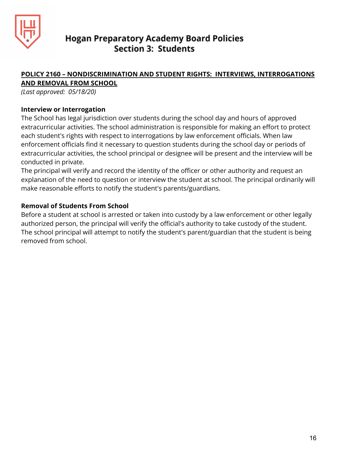

#### **POLICY 2160 – NONDISCRIMINATION AND STUDENT RIGHTS: INTERVIEWS, INTERROGATIONS AND REMOVAL FROM SCHOOL**

*(Last approved: 05/18/20)*

#### **Interview or Interrogation**

The School has legal jurisdiction over students during the school day and hours of approved extracurricular activities. The school administration is responsible for making an effort to protect each student's rights with respect to interrogations by law enforcement officials. When law enforcement officials find it necessary to question students during the school day or periods of extracurricular activities, the school principal or designee will be present and the interview will be conducted in private.

The principal will verify and record the identity of the officer or other authority and request an explanation of the need to question or interview the student at school. The principal ordinarily will make reasonable efforts to notify the student's parents/guardians.

#### **Removal of Students From School**

Before a student at school is arrested or taken into custody by a law enforcement or other legally authorized person, the principal will verify the official's authority to take custody of the student. The school principal will attempt to notify the student's parent/guardian that the student is being removed from school.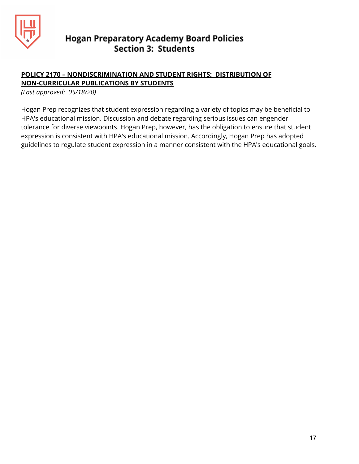

## **POLICY 2170 – NONDISCRIMINATION AND STUDENT RIGHTS: DISTRIBUTION OF NON-CURRICULAR PUBLICATIONS BY STUDENTS**

*(Last approved: 05/18/20)*

Hogan Prep recognizes that student expression regarding a variety of topics may be beneficial to HPA's educational mission. Discussion and debate regarding serious issues can engender tolerance for diverse viewpoints. Hogan Prep, however, has the obligation to ensure that student expression is consistent with HPA's educational mission. Accordingly, Hogan Prep has adopted guidelines to regulate student expression in a manner consistent with the HPA's educational goals.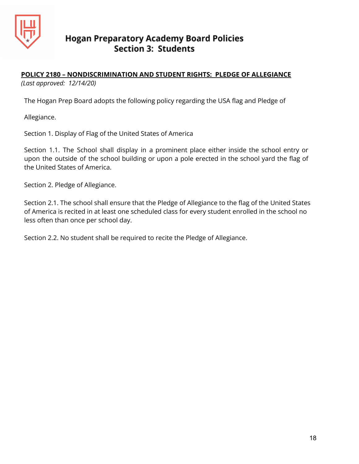

## **POLICY 2180 – NONDISCRIMINATION AND STUDENT RIGHTS: PLEDGE OF ALLEGIANCE**

*(Last approved: 12/14/20)*

The Hogan Prep Board adopts the following policy regarding the USA flag and Pledge of

Allegiance.

Section 1. Display of Flag of the United States of America

Section 1.1. The School shall display in a prominent place either inside the school entry or upon the outside of the school building or upon a pole erected in the school yard the flag of the United States of America.

Section 2. Pledge of Allegiance.

Section 2.1. The school shall ensure that the Pledge of Allegiance to the flag of the United States of America is recited in at least one scheduled class for every student enrolled in the school no less often than once per school day.

Section 2.2. No student shall be required to recite the Pledge of Allegiance.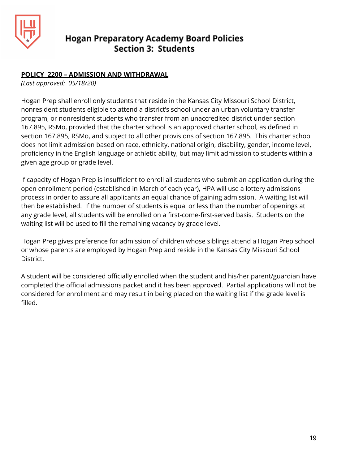

#### **POLICY 2200 – ADMISSION AND WITHDRAWAL**

*(Last approved: 05/18/20)*

Hogan Prep shall enroll only students that reside in the Kansas City Missouri School District, nonresident students eligible to attend a district's school under an urban voluntary transfer program, or nonresident students who transfer from an unaccredited district under section 167.895, RSMo, provided that the charter school is an approved charter school, as defined in section 167.895, RSMo, and subject to all other provisions of section 167.895. This charter school does not limit admission based on race, ethnicity, national origin, disability, gender, income level, proficiency in the English language or athletic ability, but may limit admission to students within a given age group or grade level.

If capacity of Hogan Prep is insufficient to enroll all students who submit an application during the open enrollment period (established in March of each year), HPA will use a lottery admissions process in order to assure all applicants an equal chance of gaining admission. A waiting list will then be established. If the number of students is equal or less than the number of openings at any grade level, all students will be enrolled on a first-come-first-served basis. Students on the waiting list will be used to fill the remaining vacancy by grade level.

Hogan Prep gives preference for admission of children whose siblings attend a Hogan Prep school or whose parents are employed by Hogan Prep and reside in the Kansas City Missouri School District.

A student will be considered officially enrolled when the student and his/her parent/guardian have completed the official admissions packet and it has been approved. Partial applications will not be considered for enrollment and may result in being placed on the waiting list if the grade level is filled.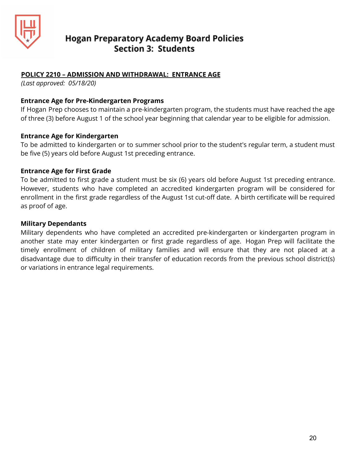

#### **POLICY 2210 – ADMISSION AND WITHDRAWAL: ENTRANCE AGE**

*(Last approved: 05/18/20)*

#### **Entrance Age for Pre-Kindergarten Programs**

If Hogan Prep chooses to maintain a pre-kindergarten program, the students must have reached the age of three (3) before August 1 of the school year beginning that calendar year to be eligible for admission.

#### **Entrance Age for Kindergarten**

To be admitted to kindergarten or to summer school prior to the student's regular term, a student must be five (5) years old before August 1st preceding entrance.

#### **Entrance Age for First Grade**

To be admitted to first grade a student must be six (6) years old before August 1st preceding entrance. However, students who have completed an accredited kindergarten program will be considered for enrollment in the first grade regardless of the August 1st cut-off date. A birth certificate will be required as proof of age.

#### **Military Dependants**

Military dependents who have completed an accredited pre-kindergarten or kindergarten program in another state may enter kindergarten or first grade regardless of age. Hogan Prep will facilitate the timely enrollment of children of military families and will ensure that they are not placed at a disadvantage due to difficulty in their transfer of education records from the previous school district(s) or variations in entrance legal requirements.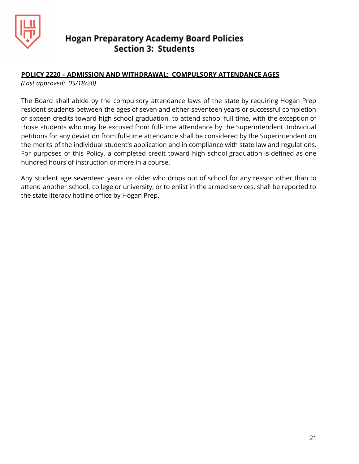

#### **POLICY 2220 – ADMISSION AND WITHDRAWAL: COMPULSORY ATTENDANCE AGES**

*(Last approved: 05/18/20)*

The Board shall abide by the compulsory attendance laws of the state by requiring Hogan Prep resident students between the ages of seven and either seventeen years or successful completion of sixteen credits toward high school graduation, to attend school full time, with the exception of those students who may be excused from full-time attendance by the Superintendent. Individual petitions for any deviation from full-time attendance shall be considered by the Superintendent on the merits of the individual student's application and in compliance with state law and regulations. For purposes of this Policy, a completed credit toward high school graduation is defined as one hundred hours of instruction or more in a course.

Any student age seventeen years or older who drops out of school for any reason other than to attend another school, college or university, or to enlist in the armed services, shall be reported to the state literacy hotline office by Hogan Prep.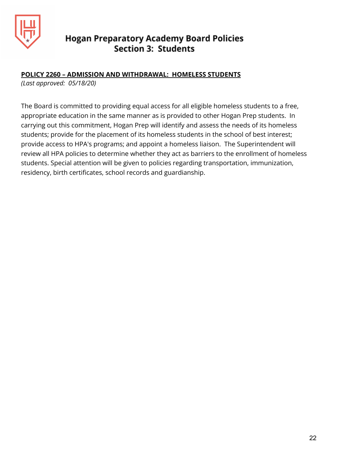

#### **POLICY 2260 – ADMISSION AND WITHDRAWAL: HOMELESS STUDENTS**

*(Last approved: 05/18/20)*

The Board is committed to providing equal access for all eligible homeless students to a free, appropriate education in the same manner as is provided to other Hogan Prep students. In carrying out this commitment, Hogan Prep will identify and assess the needs of its homeless students; provide for the placement of its homeless students in the school of best interest; provide access to HPA's programs; and appoint a homeless liaison. The Superintendent will review all HPA policies to determine whether they act as barriers to the enrollment of homeless students. Special attention will be given to policies regarding transportation, immunization, residency, birth certificates, school records and guardianship.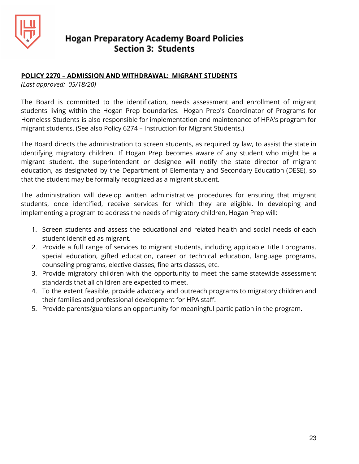

#### **POLICY 2270 – ADMISSION AND WITHDRAWAL: MIGRANT STUDENTS**

*(Last approved: 05/18/20)*

The Board is committed to the identification, needs assessment and enrollment of migrant students living within the Hogan Prep boundaries. Hogan Prep's Coordinator of Programs for Homeless Students is also responsible for implementation and maintenance of HPA's program for migrant students. (See also Policy 6274 – Instruction for Migrant Students.)

The Board directs the administration to screen students, as required by law, to assist the state in identifying migratory children. If Hogan Prep becomes aware of any student who might be a migrant student, the superintendent or designee will notify the state director of migrant education, as designated by the Department of Elementary and Secondary Education (DESE), so that the student may be formally recognized as a migrant student.

The administration will develop written administrative procedures for ensuring that migrant students, once identified, receive services for which they are eligible. In developing and implementing a program to address the needs of migratory children, Hogan Prep will:

- 1. Screen students and assess the educational and related health and social needs of each student identified as migrant.
- 2. Provide a full range of services to migrant students, including applicable Title I programs, special education, gifted education, career or technical education, language programs, counseling programs, elective classes, fine arts classes, etc.
- 3. Provide migratory children with the opportunity to meet the same statewide assessment standards that all children are expected to meet.
- 4. To the extent feasible, provide advocacy and outreach programs to migratory children and their families and professional development for HPA staff.
- 5. Provide parents/guardians an opportunity for meaningful participation in the program.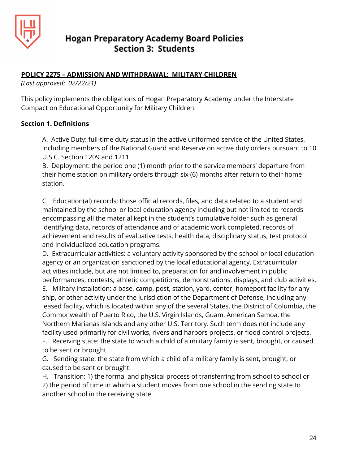

#### **POLICY 2275 – ADMISSION AND WITHDRAWAL: MILITARY CHILDREN**

*(Last approved: 02/22/21)*

This policy implements the obligations of Hogan Preparatory Academy under the Interstate Compact on Educational Opportunity for Military Children.

#### **Section 1. Definitions**

A. Active Duty: full-time duty status in the active uniformed service of the United States, including members of the National Guard and Reserve on active duty orders pursuant to 10 U.S.C. Section 1209 and 1211.

B. Deployment: the period one (1) month prior to the service members' departure from their home station on military orders through six (6) months after return to their home station.

C. Education(al) records: those official records, files, and data related to a student and maintained by the school or local education agency including but not limited to records encompassing all the material kept in the student's cumulative folder such as general identifying data, records of attendance and of academic work completed, records of achievement and results of evaluative tests, health data, disciplinary status, test protocol and individualized education programs.

D. Extracurricular activities: a voluntary activity sponsored by the school or local education agency or an organization sanctioned by the local educational agency. Extracurricular activities include, but are not limited to, preparation for and involvement in public performances, contests, athletic competitions, demonstrations, displays, and club activities.

E. Military installation: a base, camp, post, station, yard, center, homeport facility for any ship, or other activity under the jurisdiction of the Department of Defense, including any leased facility, which is located within any of the several States, the District of Columbia, the Commonwealth of Puerto Rico, the U.S. Virgin Islands, Guam, American Samoa, the Northern Marianas Islands and any other U.S. Territory. Such term does not include any facility used primarily for civil works, rivers and harbors projects, or flood control projects.

F. Receiving state: the state to which a child of a military family is sent, brought, or caused to be sent or brought.

G. Sending state: the state from which a child of a military family is sent, brought, or caused to be sent or brought.

H. Transition: 1) the formal and physical process of transferring from school to school or 2) the period of time in which a student moves from one school in the sending state to another school in the receiving state.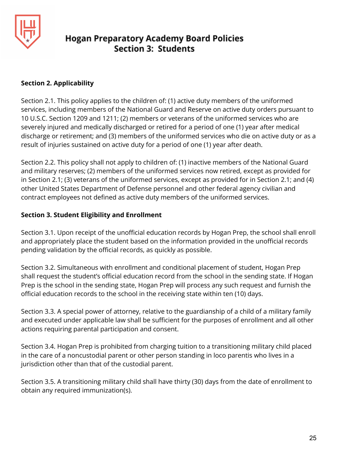

#### **Section 2. Applicability**

Section 2.1. This policy applies to the children of: (1) active duty members of the uniformed services, including members of the National Guard and Reserve on active duty orders pursuant to 10 U.S.C. Section 1209 and 1211; (2) members or veterans of the uniformed services who are severely injured and medically discharged or retired for a period of one (1) year after medical discharge or retirement; and (3) members of the uniformed services who die on active duty or as a result of injuries sustained on active duty for a period of one (1) year after death.

Section 2.2. This policy shall not apply to children of: (1) inactive members of the National Guard and military reserves; (2) members of the uniformed services now retired, except as provided for in Section 2.1; (3) veterans of the uniformed services, except as provided for in Section 2.1; and (4) other United States Department of Defense personnel and other federal agency civilian and contract employees not defined as active duty members of the uniformed services.

## **Section 3. Student Eligibility and Enrollment**

Section 3.1. Upon receipt of the unofficial education records by Hogan Prep, the school shall enroll and appropriately place the student based on the information provided in the unofficial records pending validation by the official records, as quickly as possible.

Section 3.2. Simultaneous with enrollment and conditional placement of student, Hogan Prep shall request the student's official education record from the school in the sending state. If Hogan Prep is the school in the sending state, Hogan Prep will process any such request and furnish the official education records to the school in the receiving state within ten (10) days.

Section 3.3. A special power of attorney, relative to the guardianship of a child of a military family and executed under applicable law shall be sufficient for the purposes of enrollment and all other actions requiring parental participation and consent.

Section 3.4. Hogan Prep is prohibited from charging tuition to a transitioning military child placed in the care of a noncustodial parent or other person standing in loco parentis who lives in a jurisdiction other than that of the custodial parent.

Section 3.5. A transitioning military child shall have thirty (30) days from the date of enrollment to obtain any required immunization(s).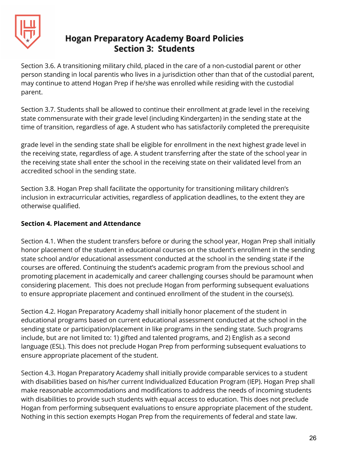

Section 3.6. A transitioning military child, placed in the care of a non-custodial parent or other person standing in local parentis who lives in a jurisdiction other than that of the custodial parent, may continue to attend Hogan Prep if he/she was enrolled while residing with the custodial parent.

Section 3.7. Students shall be allowed to continue their enrollment at grade level in the receiving state commensurate with their grade level (including Kindergarten) in the sending state at the time of transition, regardless of age. A student who has satisfactorily completed the prerequisite

grade level in the sending state shall be eligible for enrollment in the next highest grade level in the receiving state, regardless of age. A student transferring after the state of the school year in the receiving state shall enter the school in the receiving state on their validated level from an accredited school in the sending state.

Section 3.8. Hogan Prep shall facilitate the opportunity for transitioning military children's inclusion in extracurricular activities, regardless of application deadlines, to the extent they are otherwise qualified.

## **Section 4. Placement and Attendance**

Section 4.1. When the student transfers before or during the school year, Hogan Prep shall initially honor placement of the student in educational courses on the student's enrollment in the sending state school and/or educational assessment conducted at the school in the sending state if the courses are offered. Continuing the student's academic program from the previous school and promoting placement in academically and career challenging courses should be paramount when considering placement. This does not preclude Hogan from performing subsequent evaluations to ensure appropriate placement and continued enrollment of the student in the course(s).

Section 4.2. Hogan Preparatory Academy shall initially honor placement of the student in educational programs based on current educational assessment conducted at the school in the sending state or participation/placement in like programs in the sending state. Such programs include, but are not limited to: 1) gifted and talented programs, and 2) English as a second language (ESL). This does not preclude Hogan Prep from performing subsequent evaluations to ensure appropriate placement of the student.

Section 4.3. Hogan Preparatory Academy shall initially provide comparable services to a student with disabilities based on his/her current Individualized Education Program (IEP). Hogan Prep shall make reasonable accommodations and modifications to address the needs of incoming students with disabilities to provide such students with equal access to education. This does not preclude Hogan from performing subsequent evaluations to ensure appropriate placement of the student. Nothing in this section exempts Hogan Prep from the requirements of federal and state law.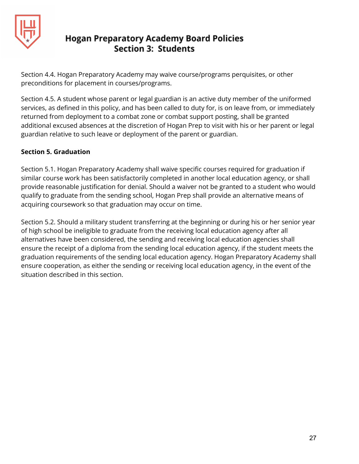

Section 4.4. Hogan Preparatory Academy may waive course/programs perquisites, or other preconditions for placement in courses/programs.

Section 4.5. A student whose parent or legal guardian is an active duty member of the uniformed services, as defined in this policy, and has been called to duty for, is on leave from, or immediately returned from deployment to a combat zone or combat support posting, shall be granted additional excused absences at the discretion of Hogan Prep to visit with his or her parent or legal guardian relative to such leave or deployment of the parent or guardian.

## **Section 5. Graduation**

Section 5.1. Hogan Preparatory Academy shall waive specific courses required for graduation if similar course work has been satisfactorily completed in another local education agency, or shall provide reasonable justification for denial. Should a waiver not be granted to a student who would qualify to graduate from the sending school, Hogan Prep shall provide an alternative means of acquiring coursework so that graduation may occur on time.

Section 5.2. Should a military student transferring at the beginning or during his or her senior year of high school be ineligible to graduate from the receiving local education agency after all alternatives have been considered, the sending and receiving local education agencies shall ensure the receipt of a diploma from the sending local education agency, if the student meets the graduation requirements of the sending local education agency. Hogan Preparatory Academy shall ensure cooperation, as either the sending or receiving local education agency, in the event of the situation described in this section.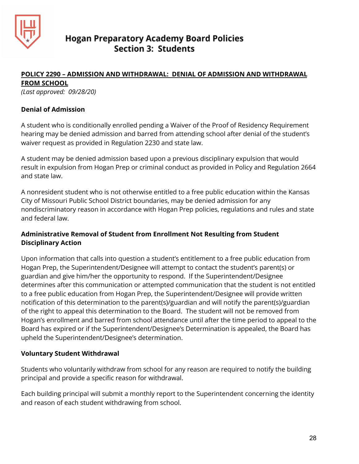

#### **POLICY 2290 – ADMISSION AND WITHDRAWAL: DENIAL OF ADMISSION AND WITHDRAWAL FROM SCHOOL**

*(Last approved: 09/28/20)*

#### **Denial of Admission**

A student who is conditionally enrolled pending a Waiver of the Proof of Residency Requirement hearing may be denied admission and barred from attending school after denial of the student's waiver request as provided in Regulation 2230 and state law.

A student may be denied admission based upon a previous disciplinary expulsion that would result in expulsion from Hogan Prep or criminal conduct as provided in Policy and Regulation 2664 and state law.

A nonresident student who is not otherwise entitled to a free public education within the Kansas City of Missouri Public School District boundaries, may be denied admission for any nondiscriminatory reason in accordance with Hogan Prep policies, regulations and rules and state and federal law.

## **Administrative Removal of Student from Enrollment Not Resulting from Student Disciplinary Action**

Upon information that calls into question a student's entitlement to a free public education from Hogan Prep, the Superintendent/Designee will attempt to contact the student's parent(s) or guardian and give him/her the opportunity to respond. If the Superintendent/Designee determines after this communication or attempted communication that the student is not entitled to a free public education from Hogan Prep, the Superintendent/Designee will provide written notification of this determination to the parent(s)/guardian and will notify the parent(s)/guardian of the right to appeal this determination to the Board. The student will not be removed from Hogan's enrollment and barred from school attendance until after the time period to appeal to the Board has expired or if the Superintendent/Designee's Determination is appealed, the Board has upheld the Superintendent/Designee's determination.

#### **Voluntary Student Withdrawal**

Students who voluntarily withdraw from school for any reason are required to notify the building principal and provide a specific reason for withdrawal.

Each building principal will submit a monthly report to the Superintendent concerning the identity and reason of each student withdrawing from school.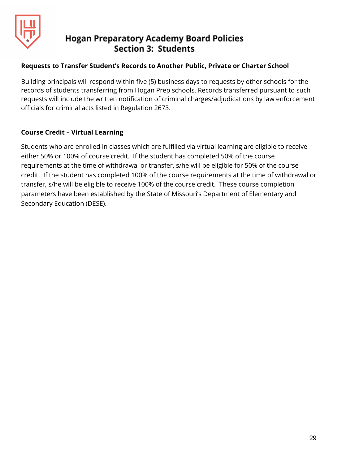

#### **Requests to Transfer Student's Records to Another Public, Private or Charter School**

Building principals will respond within five (5) business days to requests by other schools for the records of students transferring from Hogan Prep schools. Records transferred pursuant to such requests will include the written notification of criminal charges/adjudications by law enforcement officials for criminal acts listed in Regulation 2673.

#### **Course Credit – Virtual Learning**

Students who are enrolled in classes which are fulfilled via virtual learning are eligible to receive either 50% or 100% of course credit. If the student has completed 50% of the course requirements at the time of withdrawal or transfer, s/he will be eligible for 50% of the course credit. If the student has completed 100% of the course requirements at the time of withdrawal or transfer, s/he will be eligible to receive 100% of the course credit. These course completion parameters have been established by the State of Missouri's Department of Elementary and Secondary Education (DESE).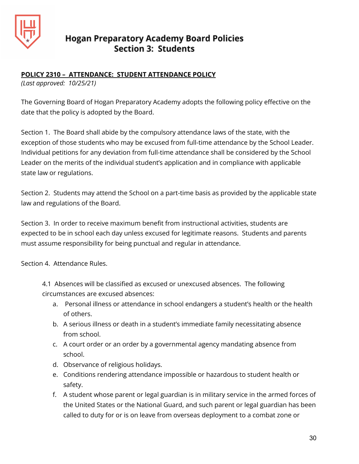

## **POLICY 2310 – ATTENDANCE: STUDENT ATTENDANCE POLICY**

*(Last approved: 10/25/21)*

The Governing Board of Hogan Preparatory Academy adopts the following policy effective on the date that the policy is adopted by the Board.

Section 1. The Board shall abide by the compulsory attendance laws of the state, with the exception of those students who may be excused from full-time attendance by the School Leader. Individual petitions for any deviation from full-time attendance shall be considered by the School Leader on the merits of the individual student's application and in compliance with applicable state law or regulations.

Section 2. Students may attend the School on a part-time basis as provided by the applicable state law and regulations of the Board.

Section 3. In order to receive maximum benefit from instructional activities, students are expected to be in school each day unless excused for legitimate reasons. Students and parents must assume responsibility for being punctual and regular in attendance.

Section 4. Attendance Rules.

4.1 Absences will be classified as excused or unexcused absences. The following circumstances are excused absences:

- a. Personal illness or attendance in school endangers a student's health or the health of others.
- b. A serious illness or death in a student's immediate family necessitating absence from school.
- c. A court order or an order by a governmental agency mandating absence from school.
- d. Observance of religious holidays.
- e. Conditions rendering attendance impossible or hazardous to student health or safety.
- f. A student whose parent or legal guardian is in military service in the armed forces of the United States or the National Guard, and such parent or legal guardian has been called to duty for or is on leave from overseas deployment to a combat zone or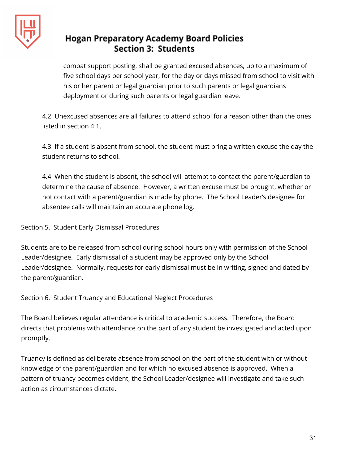

combat support posting, shall be granted excused absences, up to a maximum of five school days per school year, for the day or days missed from school to visit with his or her parent or legal guardian prior to such parents or legal guardians deployment or during such parents or legal guardian leave.

4.2 Unexcused absences are all failures to attend school for a reason other than the ones listed in section 4.1.

4.3 If a student is absent from school, the student must bring a written excuse the day the student returns to school.

4.4 When the student is absent, the school will attempt to contact the parent/guardian to determine the cause of absence. However, a written excuse must be brought, whether or not contact with a parent/guardian is made by phone. The School Leader's designee for absentee calls will maintain an accurate phone log.

Section 5. Student Early Dismissal Procedures

Students are to be released from school during school hours only with permission of the School Leader/designee. Early dismissal of a student may be approved only by the School Leader/designee. Normally, requests for early dismissal must be in writing, signed and dated by the parent/guardian.

Section 6. Student Truancy and Educational Neglect Procedures

The Board believes regular attendance is critical to academic success. Therefore, the Board directs that problems with attendance on the part of any student be investigated and acted upon promptly.

Truancy is defined as deliberate absence from school on the part of the student with or without knowledge of the parent/guardian and for which no excused absence is approved. When a pattern of truancy becomes evident, the School Leader/designee will investigate and take such action as circumstances dictate.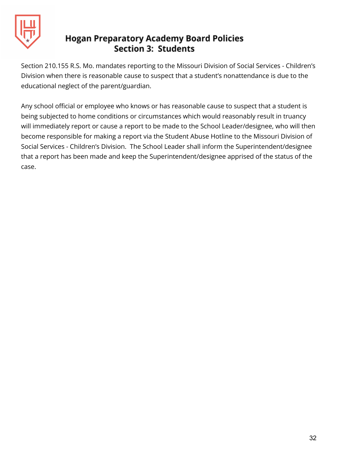

Section 210.155 R.S. Mo. mandates reporting to the Missouri Division of Social Services - Children's Division when there is reasonable cause to suspect that a student's nonattendance is due to the educational neglect of the parent/guardian.

Any school official or employee who knows or has reasonable cause to suspect that a student is being subjected to home conditions or circumstances which would reasonably result in truancy will immediately report or cause a report to be made to the School Leader/designee, who will then become responsible for making a report via the Student Abuse Hotline to the Missouri Division of Social Services - Children's Division. The School Leader shall inform the Superintendent/designee that a report has been made and keep the Superintendent/designee apprised of the status of the case.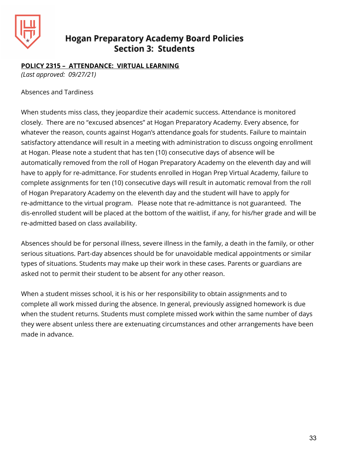

#### **POLICY 2315 – ATTENDANCE: VIRTUAL LEARNING**

*(Last approved: 09/27/21)*

#### Absences and Tardiness

When students miss class, they jeopardize their academic success. Attendance is monitored closely. There are no "excused absences" at Hogan Preparatory Academy. Every absence, for whatever the reason, counts against Hogan's attendance goals for students. Failure to maintain satisfactory attendance will result in a meeting with administration to discuss ongoing enrollment at Hogan. Please note a student that has ten (10) consecutive days of absence will be automatically removed from the roll of Hogan Preparatory Academy on the eleventh day and will have to apply for re-admittance. For students enrolled in Hogan Prep Virtual Academy, failure to complete assignments for ten (10) consecutive days will result in automatic removal from the roll of Hogan Preparatory Academy on the eleventh day and the student will have to apply for re-admittance to the virtual program. Please note that re-admittance is not guaranteed. The dis-enrolled student will be placed at the bottom of the waitlist, if any, for his/her grade and will be re-admitted based on class availability.

Absences should be for personal illness, severe illness in the family, a death in the family, or other serious situations. Part-day absences should be for unavoidable medical appointments or similar types of situations. Students may make up their work in these cases. Parents or guardians are asked not to permit their student to be absent for any other reason.

When a student misses school, it is his or her responsibility to obtain assignments and to complete all work missed during the absence. In general, previously assigned homework is due when the student returns. Students must complete missed work within the same number of days they were absent unless there are extenuating circumstances and other arrangements have been made in advance.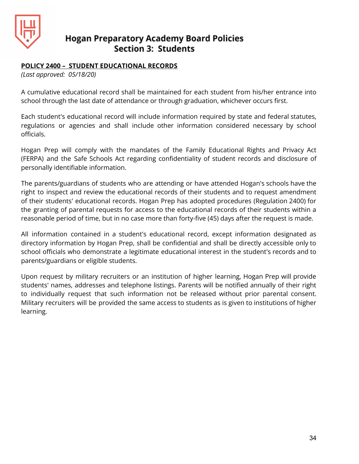

#### **POLICY 2400 – STUDENT EDUCATIONAL RECORDS**

*(Last approved: 05/18/20)*

A cumulative educational record shall be maintained for each student from his/her entrance into school through the last date of attendance or through graduation, whichever occurs first.

Each student's educational record will include information required by state and federal statutes, regulations or agencies and shall include other information considered necessary by school officials.

Hogan Prep will comply with the mandates of the Family Educational Rights and Privacy Act (FERPA) and the Safe Schools Act regarding confidentiality of student records and disclosure of personally identifiable information.

The parents/guardians of students who are attending or have attended Hogan's schools have the right to inspect and review the educational records of their students and to request amendment of their students' educational records. Hogan Prep has adopted procedures (Regulation 2400) for the granting of parental requests for access to the educational records of their students within a reasonable period of time, but in no case more than forty-five (45) days after the request is made.

All information contained in a student's educational record, except information designated as directory information by Hogan Prep, shall be confidential and shall be directly accessible only to school officials who demonstrate a legitimate educational interest in the student's records and to parents/guardians or eligible students.

Upon request by military recruiters or an institution of higher learning, Hogan Prep will provide students' names, addresses and telephone listings. Parents will be notified annually of their right to individually request that such information not be released without prior parental consent. Military recruiters will be provided the same access to students as is given to institutions of higher learning.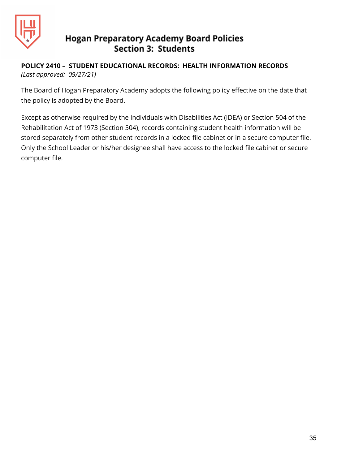

#### **POLICY 2410 – STUDENT EDUCATIONAL RECORDS: HEALTH INFORMATION RECORDS** *(Last approved: 09/27/21)*

The Board of Hogan Preparatory Academy adopts the following policy effective on the date that the policy is adopted by the Board.

Except as otherwise required by the Individuals with Disabilities Act (IDEA) or Section 504 of the Rehabilitation Act of 1973 (Section 504), records containing student health information will be stored separately from other student records in a locked file cabinet or in a secure computer file. Only the School Leader or his/her designee shall have access to the locked file cabinet or secure computer file.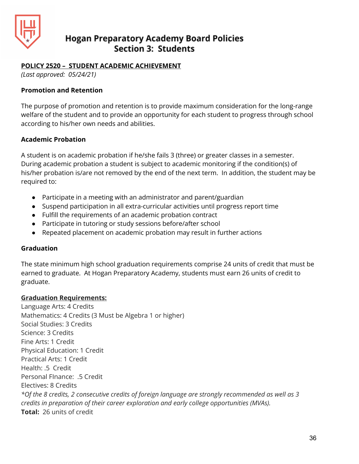

#### **POLICY 2520 – STUDENT ACADEMIC ACHIEVEMENT**

*(Last approved: 05/24/21)*

#### **Promotion and Retention**

The purpose of promotion and retention is to provide maximum consideration for the long-range welfare of the student and to provide an opportunity for each student to progress through school according to his/her own needs and abilities.

#### **Academic Probation**

A student is on academic probation if he/she fails 3 (three) or greater classes in a semester. During academic probation a student is subject to academic monitoring if the condition(s) of his/her probation is/are not removed by the end of the next term. In addition, the student may be required to:

- Participate in a meeting with an administrator and parent/guardian
- Suspend participation in all extra-curricular activities until progress report time
- Fulfill the requirements of an academic probation contract
- Participate in tutoring or study sessions before/after school
- Repeated placement on academic probation may result in further actions

#### **Graduation**

The state minimum high school graduation requirements comprise 24 units of credit that must be earned to graduate. At Hogan Preparatory Academy, students must earn 26 units of credit to graduate.

#### **Graduation Requirements:**

Language Arts: 4 Credits Mathematics: 4 Credits (3 Must be Algebra 1 or higher) Social Studies: 3 Credits Science: 3 Credits Fine Arts: 1 Credit Physical Education: 1 Credit Practical Arts: 1 Credit Health: .5 Credit Personal FInance: .5 Credit Electives: 8 Credits *\*Of the 8 credits, 2 consecutive credits of foreign language are strongly recommended as well as 3 credits in preparation of their career exploration and early college opportunities (MVAs).* **Total:** 26 units of credit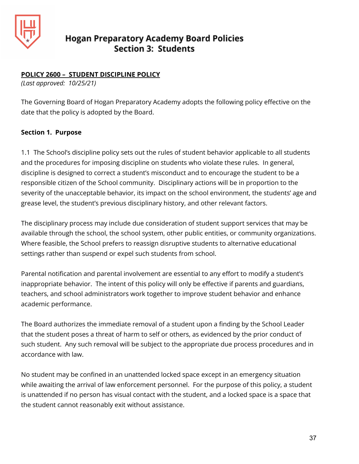

#### **POLICY 2600 – STUDENT DISCIPLINE POLICY**

*(Last approved: 10/25/21)*

The Governing Board of Hogan Preparatory Academy adopts the following policy effective on the date that the policy is adopted by the Board.

#### **Section 1. Purpose**

1.1 The School's discipline policy sets out the rules of student behavior applicable to all students and the procedures for imposing discipline on students who violate these rules. In general, discipline is designed to correct a student's misconduct and to encourage the student to be a responsible citizen of the School community. Disciplinary actions will be in proportion to the severity of the unacceptable behavior, its impact on the school environment, the students' age and grease level, the student's previous disciplinary history, and other relevant factors.

The disciplinary process may include due consideration of student support services that may be available through the school, the school system, other public entities, or community organizations. Where feasible, the School prefers to reassign disruptive students to alternative educational settings rather than suspend or expel such students from school.

Parental notification and parental involvement are essential to any effort to modify a student's inappropriate behavior. The intent of this policy will only be effective if parents and guardians, teachers, and school administrators work together to improve student behavior and enhance academic performance.

The Board authorizes the immediate removal of a student upon a finding by the School Leader that the student poses a threat of harm to self or others, as evidenced by the prior conduct of such student. Any such removal will be subject to the appropriate due process procedures and in accordance with law.

No student may be confined in an unattended locked space except in an emergency situation while awaiting the arrival of law enforcement personnel. For the purpose of this policy, a student is unattended if no person has visual contact with the student, and a locked space is a space that the student cannot reasonably exit without assistance.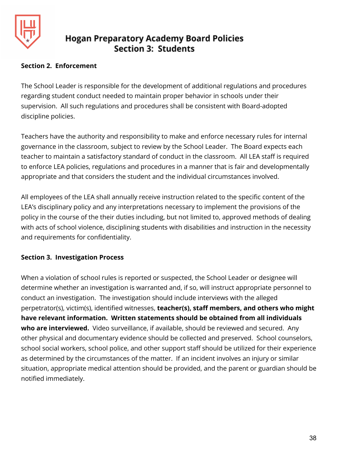

#### **Section 2. Enforcement**

The School Leader is responsible for the development of additional regulations and procedures regarding student conduct needed to maintain proper behavior in schools under their supervision. All such regulations and procedures shall be consistent with Board-adopted discipline policies.

Teachers have the authority and responsibility to make and enforce necessary rules for internal governance in the classroom, subject to review by the School Leader. The Board expects each teacher to maintain a satisfactory standard of conduct in the classroom. All LEA staff is required to enforce LEA policies, regulations and procedures in a manner that is fair and developmentally appropriate and that considers the student and the individual circumstances involved.

All employees of the LEA shall annually receive instruction related to the specific content of the LEA's disciplinary policy and any interpretations necessary to implement the provisions of the policy in the course of the their duties including, but not limited to, approved methods of dealing with acts of school violence, disciplining students with disabilities and instruction in the necessity and requirements for confidentiality.

#### **Section 3. Investigation Process**

When a violation of school rules is reported or suspected, the School Leader or designee will determine whether an investigation is warranted and, if so, will instruct appropriate personnel to conduct an investigation. The investigation should include interviews with the alleged perpetrator(s), victim(s), identified witnesses, **teacher(s), staff members, and others who might have relevant information. Written statements should be obtained from all individuals who are interviewed.** Video surveillance, if available, should be reviewed and secured. Any other physical and documentary evidence should be collected and preserved. School counselors, school social workers, school police, and other support staff should be utilized for their experience as determined by the circumstances of the matter. If an incident involves an injury or similar situation, appropriate medical attention should be provided, and the parent or guardian should be notified immediately.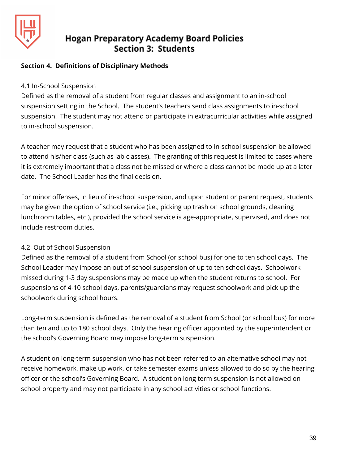

#### **Section 4. Definitions of Disciplinary Methods**

#### 4.1 In-School Suspension

Defined as the removal of a student from regular classes and assignment to an in-school suspension setting in the School. The student's teachers send class assignments to in-school suspension. The student may not attend or participate in extracurricular activities while assigned to in-school suspension.

A teacher may request that a student who has been assigned to in-school suspension be allowed to attend his/her class (such as lab classes). The granting of this request is limited to cases where it is extremely important that a class not be missed or where a class cannot be made up at a later date. The School Leader has the final decision.

For minor offenses, in lieu of in-school suspension, and upon student or parent request, students may be given the option of school service (i.e., picking up trash on school grounds, cleaning lunchroom tables, etc.), provided the school service is age-appropriate, supervised, and does not include restroom duties.

#### 4.2 Out of School Suspension

Defined as the removal of a student from School (or school bus) for one to ten school days. The School Leader may impose an out of school suspension of up to ten school days. Schoolwork missed during 1-3 day suspensions may be made up when the student returns to school. For suspensions of 4-10 school days, parents/guardians may request schoolwork and pick up the schoolwork during school hours.

Long-term suspension is defined as the removal of a student from School (or school bus) for more than ten and up to 180 school days. Only the hearing officer appointed by the superintendent or the school's Governing Board may impose long-term suspension.

A student on long-term suspension who has not been referred to an alternative school may not receive homework, make up work, or take semester exams unless allowed to do so by the hearing officer or the school's Governing Board. A student on long term suspension is not allowed on school property and may not participate in any school activities or school functions.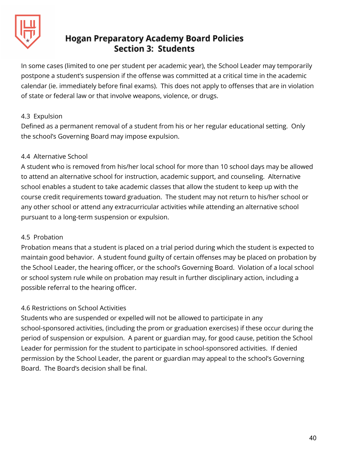

In some cases (limited to one per student per academic year), the School Leader may temporarily postpone a student's suspension if the offense was committed at a critical time in the academic calendar (ie. immediately before final exams). This does not apply to offenses that are in violation of state or federal law or that involve weapons, violence, or drugs.

#### 4.3 Expulsion

Defined as a permanent removal of a student from his or her regular educational setting. Only the school's Governing Board may impose expulsion.

#### 4.4 Alternative School

A student who is removed from his/her local school for more than 10 school days may be allowed to attend an alternative school for instruction, academic support, and counseling. Alternative school enables a student to take academic classes that allow the student to keep up with the course credit requirements toward graduation. The student may not return to his/her school or any other school or attend any extracurricular activities while attending an alternative school pursuant to a long-term suspension or expulsion.

#### 4.5 Probation

Probation means that a student is placed on a trial period during which the student is expected to maintain good behavior. A student found guilty of certain offenses may be placed on probation by the School Leader, the hearing officer, or the school's Governing Board. Violation of a local school or school system rule while on probation may result in further disciplinary action, including a possible referral to the hearing officer.

#### 4.6 Restrictions on School Activities

Students who are suspended or expelled will not be allowed to participate in any school-sponsored activities, (including the prom or graduation exercises) if these occur during the period of suspension or expulsion. A parent or guardian may, for good cause, petition the School Leader for permission for the student to participate in school-sponsored activities. If denied permission by the School Leader, the parent or guardian may appeal to the school's Governing Board. The Board's decision shall be final.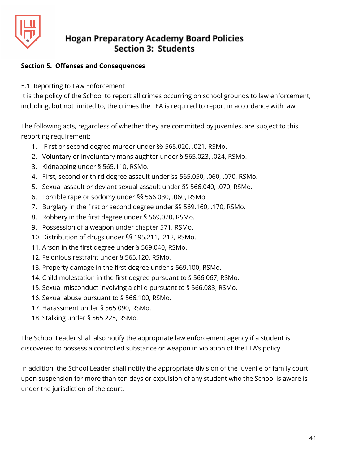

#### **Section 5. Offenses and Consequences**

5.1 Reporting to Law Enforcement

It is the policy of the School to report all crimes occurring on school grounds to law enforcement, including, but not limited to, the crimes the LEA is required to report in accordance with law.

The following acts, regardless of whether they are committed by juveniles, are subject to this reporting requirement:

- 1. First or second degree murder under §§ 565.020, .021, RSMo.
- 2. Voluntary or involuntary manslaughter under § 565.023, .024, RSMo.
- 3. Kidnapping under § 565.110, RSMo.
- 4. First, second or third degree assault under §§ 565.050, .060, .070, RSMo.
- 5. Sexual assault or deviant sexual assault under §§ 566.040, .070, RSMo.
- 6. Forcible rape or sodomy under §§ 566.030, .060, RSMo.
- 7. Burglary in the first or second degree under §§ 569.160, .170, RSMo.
- 8. Robbery in the first degree under § 569.020, RSMo.
- 9. Possession of a weapon under chapter 571, RSMo.
- 10. Distribution of drugs under §§ 195.211, .212, RSMo.
- 11. Arson in the first degree under § 569.040, RSMo.
- 12. Felonious restraint under § 565.120, RSMo.
- 13. Property damage in the first degree under § 569.100, RSMo.
- 14. Child molestation in the first degree pursuant to § 566.067, RSMo.
- 15. Sexual misconduct involving a child pursuant to § 566.083, RSMo.
- 16. Sexual abuse pursuant to § 566.100, RSMo.
- 17. Harassment under § 565.090, RSMo.
- 18. Stalking under § 565.225, RSMo.

The School Leader shall also notify the appropriate law enforcement agency if a student is discovered to possess a controlled substance or weapon in violation of the LEA's policy.

In addition, the School Leader shall notify the appropriate division of the juvenile or family court upon suspension for more than ten days or expulsion of any student who the School is aware is under the jurisdiction of the court.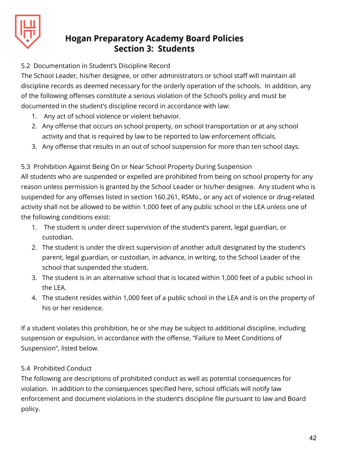

#### 5.2 Documentation in Student's Discipline Record

The School Leader, his/her designee, or other administrators or school staff will maintain all discipline records as deemed necessary for the orderly operation of the schools. In addition, any of the following offenses constitute a serious violation of the School's policy and must be documented in the student's discipline record in accordance with law:

- 1. Any act of school violence or violent behavior.
- 2. Any offense that occurs on school property, on school transportation or at any school activity and that is required by law to be reported to law enforcement officials.
- 3. Any offense that results in an out of school suspension for more than ten school days.

#### 5.3 Prohibition Against Being On or Near School Property During Suspension

All students who are suspended or expelled are prohibited from being on school property for any reason unless permission is granted by the School Leader or his/her designee. Any student who is suspended for any offenses listed in section 160.261, RSMo., or any act of violence or drug-related activity shall not be allowed to be within 1,000 feet of any public school in the LEA unless one of the following conditions exist:

- 1. The student is under direct supervision of the student's parent, legal guardian, or custodian.
- 2. The student is under the direct supervision of another adult designated by the student's parent, legal guardian, or custodian, in advance, in writing, to the School Leader of the school that suspended the student.
- 3. The student is in an alternative school that is located within 1,000 feet of a public school in the LEA.
- 4. The student resides within 1,000 feet of a public school in the LEA and is on the property of his or her residence.

If a student violates this prohibition, he or she may be subject to additional discipline, including suspension or expulsion, in accordance with the offense, "Failure to Meet Conditions of Suspension", listed below.

#### 5.4 Prohibited Conduct

The following are descriptions of prohibited conduct as well as potential consequences for violation. In addition to the consequences specified here, school officials will notify law enforcement and document violations in the student's discipline file pursuant to law and Board policy.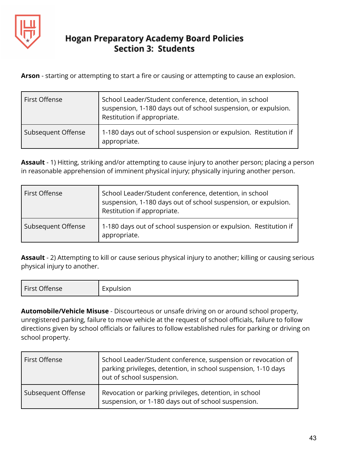

**Arson** - starting or attempting to start a fire or causing or attempting to cause an explosion.

| First Offense      | School Leader/Student conference, detention, in school<br>suspension, 1-180 days out of school suspension, or expulsion.<br>Restitution if appropriate. |
|--------------------|---------------------------------------------------------------------------------------------------------------------------------------------------------|
| Subsequent Offense | 1-180 days out of school suspension or expulsion. Restitution if<br>appropriate.                                                                        |

**Assault** - 1) Hitting, striking and/or attempting to cause injury to another person; placing a person in reasonable apprehension of imminent physical injury; physically injuring another person.

| First Offense      | School Leader/Student conference, detention, in school<br>suspension, 1-180 days out of school suspension, or expulsion.<br>Restitution if appropriate. |
|--------------------|---------------------------------------------------------------------------------------------------------------------------------------------------------|
| Subsequent Offense | 1-180 days out of school suspension or expulsion. Restitution if<br>appropriate.                                                                        |

**Assault** - 2) Attempting to kill or cause serious physical injury to another; killing or causing serious physical injury to another.

| First Offense<br>$\overline{\phantom{0}}$<br>-. <i>. .</i> 1<br>lcion<br>EXPUISION |  |
|------------------------------------------------------------------------------------|--|
|------------------------------------------------------------------------------------|--|

**Automobile/Vehicle Misuse** - Discourteous or unsafe driving on or around school property, unregistered parking, failure to move vehicle at the request of school officials, failure to follow directions given by school officials or failures to follow established rules for parking or driving on school property.

| First Offense      | School Leader/Student conference, suspension or revocation of<br>parking privileges, detention, in school suspension, 1-10 days<br>out of school suspension. |
|--------------------|--------------------------------------------------------------------------------------------------------------------------------------------------------------|
| Subsequent Offense | Revocation or parking privileges, detention, in school<br>suspension, or 1-180 days out of school suspension.                                                |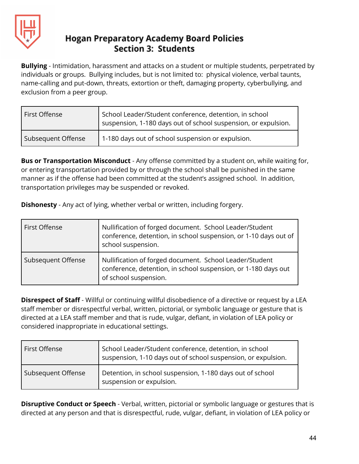

**Bullying** - Intimidation, harassment and attacks on a student or multiple students, perpetrated by individuals or groups. Bullying includes, but is not limited to: physical violence, verbal taunts, name-calling and put-down, threats, extortion or theft, damaging property, cyberbullying, and exclusion from a peer group.

| First Offense      | School Leader/Student conference, detention, in school<br>suspension, 1-180 days out of school suspension, or expulsion. |
|--------------------|--------------------------------------------------------------------------------------------------------------------------|
| Subsequent Offense | 1-180 days out of school suspension or expulsion.                                                                        |

**Bus or Transportation Misconduct** - Any offense committed by a student on, while waiting for, or entering transportation provided by or through the school shall be punished in the same manner as if the offense had been committed at the student's assigned school. In addition, transportation privileges may be suspended or revoked.

**Dishonesty** - Any act of lying, whether verbal or written, including forgery.

| First Offense      | Nullification of forged document. School Leader/Student<br>conference, detention, in school suspension, or 1-10 days out of<br>school suspension.  |
|--------------------|----------------------------------------------------------------------------------------------------------------------------------------------------|
| Subsequent Offense | Nullification of forged document. School Leader/Student<br>conference, detention, in school suspension, or 1-180 days out<br>of school suspension. |

**Disrespect of Staff** - Willful or continuing willful disobedience of a directive or request by a LEA staff member or disrespectful verbal, written, pictorial, or symbolic language or gesture that is directed at a LEA staff member and that is rude, vulgar, defiant, in violation of LEA policy or considered inappropriate in educational settings.

| First Offense      | School Leader/Student conference, detention, in school<br>suspension, 1-10 days out of school suspension, or expulsion. |
|--------------------|-------------------------------------------------------------------------------------------------------------------------|
| Subsequent Offense | Detention, in school suspension, 1-180 days out of school<br>suspension or expulsion.                                   |

**Disruptive Conduct or Speech** - Verbal, written, pictorial or symbolic language or gestures that is directed at any person and that is disrespectful, rude, vulgar, defiant, in violation of LEA policy or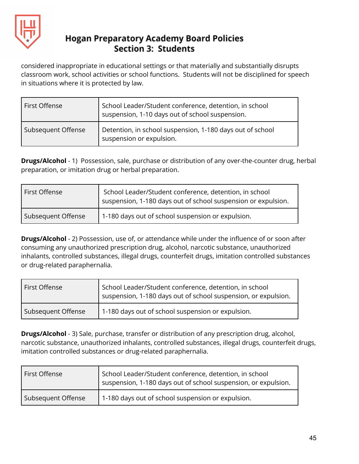

considered inappropriate in educational settings or that materially and substantially disrupts classroom work, school activities or school functions. Students will not be disciplined for speech in situations where it is protected by law.

| First Offense      | School Leader/Student conference, detention, in school<br>suspension, 1-10 days out of school suspension. |
|--------------------|-----------------------------------------------------------------------------------------------------------|
| Subsequent Offense | Detention, in school suspension, 1-180 days out of school<br>suspension or expulsion.                     |

**Drugs/Alcohol** - 1) Possession, sale, purchase or distribution of any over-the-counter drug, herbal preparation, or imitation drug or herbal preparation.

| First Offense      | School Leader/Student conference, detention, in school<br>suspension, 1-180 days out of school suspension or expulsion. |
|--------------------|-------------------------------------------------------------------------------------------------------------------------|
| Subsequent Offense | 1-180 days out of school suspension or expulsion.                                                                       |

**Drugs/Alcohol** - 2) Possession, use of, or attendance while under the influence of or soon after consuming any unauthorized prescription drug, alcohol, narcotic substance, unauthorized inhalants, controlled substances, illegal drugs, counterfeit drugs, imitation controlled substances or drug-related paraphernalia.

| First Offense      | School Leader/Student conference, detention, in school<br>suspension, 1-180 days out of school suspension, or expulsion. |
|--------------------|--------------------------------------------------------------------------------------------------------------------------|
| Subsequent Offense | 1-180 days out of school suspension or expulsion.                                                                        |

**Drugs/Alcohol** - 3) Sale, purchase, transfer or distribution of any prescription drug, alcohol, narcotic substance, unauthorized inhalants, controlled substances, illegal drugs, counterfeit drugs, imitation controlled substances or drug-related paraphernalia.

| First Offense      | School Leader/Student conference, detention, in school<br>suspension, 1-180 days out of school suspension, or expulsion. |
|--------------------|--------------------------------------------------------------------------------------------------------------------------|
| Subsequent Offense | 1-180 days out of school suspension or expulsion.                                                                        |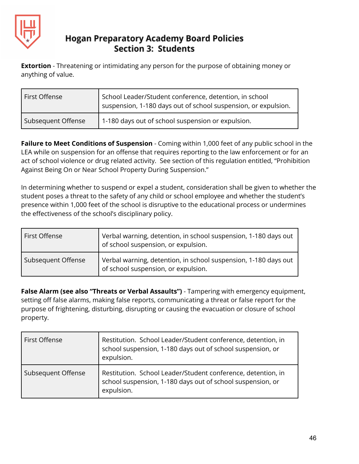

**Extortion** - Threatening or intimidating any person for the purpose of obtaining money or anything of value.

| First Offense      | School Leader/Student conference, detention, in school<br>suspension, 1-180 days out of school suspension, or expulsion. |
|--------------------|--------------------------------------------------------------------------------------------------------------------------|
| Subsequent Offense | 1-180 days out of school suspension or expulsion.                                                                        |

**Failure to Meet Conditions of Suspension** - Coming within 1,000 feet of any public school in the LEA while on suspension for an offense that requires reporting to the law enforcement or for an act of school violence or drug related activity. See section of this regulation entitled, "Prohibition Against Being On or Near School Property During Suspension."

In determining whether to suspend or expel a student, consideration shall be given to whether the student poses a threat to the safety of any child or school employee and whether the student's presence within 1,000 feet of the school is disruptive to the educational process or undermines the effectiveness of the school's disciplinary policy.

| First Offense      | Verbal warning, detention, in school suspension, 1-180 days out<br>of school suspension, or expulsion. |
|--------------------|--------------------------------------------------------------------------------------------------------|
| Subsequent Offense | Verbal warning, detention, in school suspension, 1-180 days out<br>of school suspension, or expulsion. |

**False Alarm (see also "Threats or Verbal Assaults")** - Tampering with emergency equipment, setting off false alarms, making false reports, communicating a threat or false report for the purpose of frightening, disturbing, disrupting or causing the evacuation or closure of school property.

| First Offense      | Restitution. School Leader/Student conference, detention, in<br>school suspension, 1-180 days out of school suspension, or<br>expulsion. |
|--------------------|------------------------------------------------------------------------------------------------------------------------------------------|
| Subsequent Offense | Restitution. School Leader/Student conference, detention, in<br>school suspension, 1-180 days out of school suspension, or<br>expulsion. |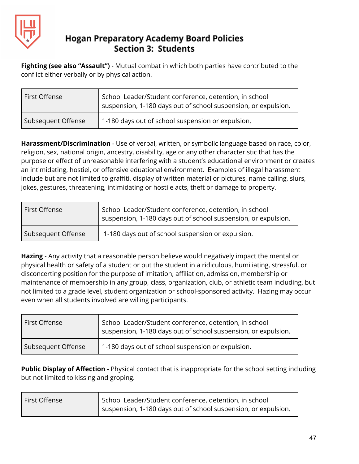

**Fighting (see also "Assault")** - Mutual combat in which both parties have contributed to the conflict either verbally or by physical action.

| First Offense      | School Leader/Student conference, detention, in school<br>suspension, 1-180 days out of school suspension, or expulsion. |
|--------------------|--------------------------------------------------------------------------------------------------------------------------|
| Subsequent Offense | 1-180 days out of school suspension or expulsion.                                                                        |

**Harassment/Discrimination** - Use of verbal, written, or symbolic language based on race, color, religion, sex, national origin, ancestry, disability, age or any other characteristic that has the purpose or effect of unreasonable interfering with a student's educational environment or creates an intimidating, hostiel, or offensive eduational environment. Examples of illegal harassment include but are not limited to graffiti, display of written material or pictures, name calling, slurs, jokes, gestures, threatening, intimidating or hostile acts, theft or damage to property.

| First Offense      | School Leader/Student conference, detention, in school<br>suspension, 1-180 days out of school suspension, or expulsion. |
|--------------------|--------------------------------------------------------------------------------------------------------------------------|
| Subsequent Offense | 1-180 days out of school suspension or expulsion.                                                                        |

**Hazing** - Any activity that a reasonable person believe would negatively impact the mental or physical health or safety of a student or put the student in a ridiculous, humiliating, stressful, or disconcerting position for the purpose of imitation, affiliation, admission, membership or maintenance of membership in any group, class, organization, club, or athletic team including, but not limited to a grade level, student organization or school-sponsored activity. Hazing may occur even when all students involved are willing participants.

| l First Offense    | School Leader/Student conference, detention, in school<br>suspension, 1-180 days out of school suspension, or expulsion. |
|--------------------|--------------------------------------------------------------------------------------------------------------------------|
| Subsequent Offense | 1-180 days out of school suspension or expulsion.                                                                        |

**Public Display of Affection** - Physical contact that is inappropriate for the school setting including but not limited to kissing and groping.

| First Offense | School Leader/Student conference, detention, in school         |
|---------------|----------------------------------------------------------------|
|               | suspension, 1-180 days out of school suspension, or expulsion. |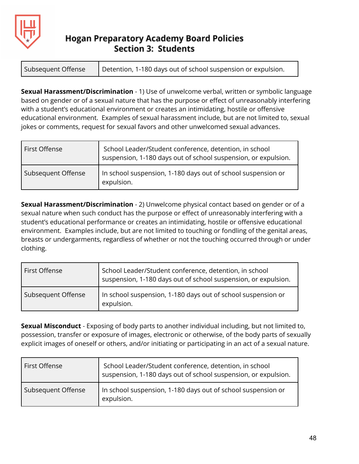

**Sexual Harassment/Discrimination** - 1) Use of unwelcome verbal, written or symbolic language based on gender or of a sexual nature that has the purpose or effect of unreasonably interfering with a student's educational environment or creates an intimidating, hostile or offensive educational environment. Examples of sexual harassment include, but are not limited to, sexual jokes or comments, request for sexual favors and other unwelcomed sexual advances.

| First Offense      | School Leader/Student conference, detention, in school<br>suspension, 1-180 days out of school suspension, or expulsion. |
|--------------------|--------------------------------------------------------------------------------------------------------------------------|
| Subsequent Offense | In school suspension, 1-180 days out of school suspension or<br>expulsion.                                               |

**Sexual Harassment/Discrimination** - 2) Unwelcome physical contact based on gender or of a sexual nature when such conduct has the purpose or effect of unreasonably interfering with a student's educational performance or creates an intimidating, hostile or offensive educational environment. Examples include, but are not limited to touching or fondling of the genital areas, breasts or undergarments, regardless of whether or not the touching occurred through or under clothing.

| First Offense      | School Leader/Student conference, detention, in school<br>suspension, 1-180 days out of school suspension, or expulsion. |
|--------------------|--------------------------------------------------------------------------------------------------------------------------|
| Subsequent Offense | In school suspension, 1-180 days out of school suspension or<br>expulsion.                                               |

**Sexual Misconduct** - Exposing of body parts to another individual including, but not limited to, possession, transfer or exposure of images, electronic or otherwise, of the body parts of sexually explicit images of oneself or others, and/or initiating or participating in an act of a sexual nature.

| First Offense      | School Leader/Student conference, detention, in school<br>suspension, 1-180 days out of school suspension, or expulsion. |
|--------------------|--------------------------------------------------------------------------------------------------------------------------|
| Subsequent Offense | In school suspension, 1-180 days out of school suspension or<br>expulsion.                                               |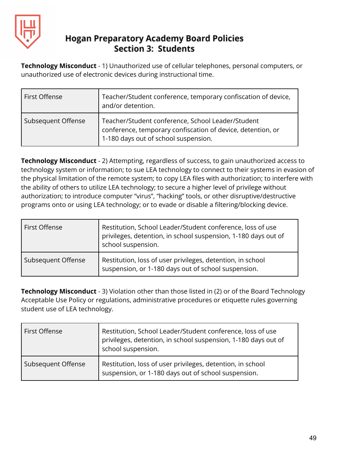

**Technology Misconduct** - 1) Unauthorized use of cellular telephones, personal computers, or unauthorized use of electronic devices during instructional time.

| First Offense      | Teacher/Student conference, temporary confiscation of device,<br>and/or detention.                                                                       |
|--------------------|----------------------------------------------------------------------------------------------------------------------------------------------------------|
| Subsequent Offense | Teacher/Student conference, School Leader/Student<br>conference, temporary confiscation of device, detention, or<br>1-180 days out of school suspension. |

**Technology Misconduct** - 2) Attempting, regardless of success, to gain unauthorized access to technology system or information; to sue LEA technology to connect to their systems in evasion of the physical limitation of the remote system; to copy LEA files with authorization; to interfere with the ability of others to utilize LEA technology; to secure a higher level of privilege without authorization; to introduce computer "virus", "hacking" tools, or other disruptive/destructive programs onto or using LEA technology; or to evade or disable a filtering/blocking device.

| First Offense      | Restitution, School Leader/Student conference, loss of use<br>privileges, detention, in school suspension, 1-180 days out of<br>school suspension. |
|--------------------|----------------------------------------------------------------------------------------------------------------------------------------------------|
| Subsequent Offense | Restitution, loss of user privileges, detention, in school<br>suspension, or 1-180 days out of school suspension.                                  |

**Technology Misconduct** - 3) Violation other than those listed in (2) or of the Board Technology Acceptable Use Policy or regulations, administrative procedures or etiquette rules governing student use of LEA technology.

| First Offense      | Restitution, School Leader/Student conference, loss of use<br>privileges, detention, in school suspension, 1-180 days out of<br>school suspension. |
|--------------------|----------------------------------------------------------------------------------------------------------------------------------------------------|
| Subsequent Offense | Restitution, loss of user privileges, detention, in school<br>suspension, or 1-180 days out of school suspension.                                  |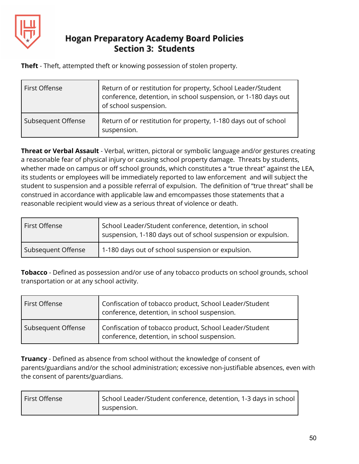

**Theft** - Theft, attempted theft or knowing possession of stolen property.

| First Offense      | Return of or restitution for property, School Leader/Student<br>conference, detention, in school suspension, or 1-180 days out<br>of school suspension. |
|--------------------|---------------------------------------------------------------------------------------------------------------------------------------------------------|
| Subsequent Offense | Return of or restitution for property, 1-180 days out of school<br>suspension.                                                                          |

**Threat or Verbal Assault** - Verbal, written, pictoral or symbolic language and/or gestures creating a reasonable fear of physical injury or causing school property damage. Threats by students, whether made on campus or off school grounds, which constitutes a "true threat" against the LEA, its students or employees will be immediately reported to law enforcement and will subject the student to suspension and a possible referral of expulsion. The definition of "true threat" shall be construed in accordance with applicable law and emcompasses those statements that a reasonable recipient would view as a serious threat of violence or death.

| First Offense      | School Leader/Student conference, detention, in school<br>suspension, 1-180 days out of school suspension or expulsion. |
|--------------------|-------------------------------------------------------------------------------------------------------------------------|
| Subsequent Offense | 1-180 days out of school suspension or expulsion.                                                                       |

**Tobacco** - Defined as possession and/or use of any tobacco products on school grounds, school transportation or at any school activity.

| First Offense      | Confiscation of tobacco product, School Leader/Student<br>conference, detention, in school suspension. |
|--------------------|--------------------------------------------------------------------------------------------------------|
| Subsequent Offense | Confiscation of tobacco product, School Leader/Student<br>conference, detention, in school suspension. |

**Truancy** - Defined as absence from school without the knowledge of consent of parents/guardians and/or the school administration; excessive non-justifiable absences, even with the consent of parents/guardians.

| First Offense | School Leader/Student conference, detention, 1-3 days in school |
|---------------|-----------------------------------------------------------------|
|               | suspension.                                                     |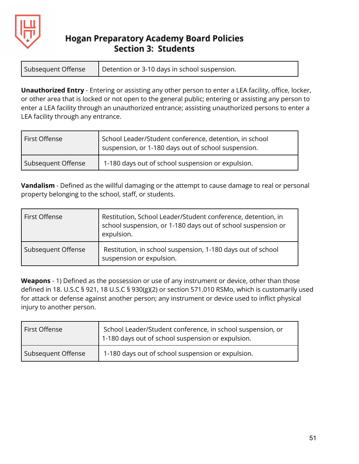

| Subsequent Offense | Detention or 3-10 days in school suspension. |
|--------------------|----------------------------------------------|
|--------------------|----------------------------------------------|

**Unauthorized Entry** - Entering or assisting any other person to enter a LEA facility, office, locker, or other area that is locked or not open to the general public; entering or assisting any person to enter a LEA facility through an unauthorized entrance; assisting unauthorized persons to enter a LEA facility through any entrance.

| First Offense      | School Leader/Student conference, detention, in school<br>suspension, or 1-180 days out of school suspension. |
|--------------------|---------------------------------------------------------------------------------------------------------------|
| Subsequent Offense | 1-180 days out of school suspension or expulsion.                                                             |

**Vandalism** - Defined as the willful damaging or the attempt to cause damage to real or personal property belonging to the school, staff, or students.

| First Offense      | Restitution, School Leader/Student conference, detention, in<br>school suspension, or 1-180 days out of school suspension or<br>expulsion. |
|--------------------|--------------------------------------------------------------------------------------------------------------------------------------------|
| Subsequent Offense | Restitution, in school suspension, 1-180 days out of school<br>suspension or expulsion.                                                    |

**Weapons** - 1) Defined as the possession or use of any instrument or device, other than those defined in 18. U.S.C § 921, 18 U.S.C § 930(g)(2) or section 571.010 RSMo, which is customarily used for attack or defense against another person; any instrument or device used to inflict physical injury to another person.

| First Offense      | School Leader/Student conference, in school suspension, or<br>1-180 days out of school suspension or expulsion. |
|--------------------|-----------------------------------------------------------------------------------------------------------------|
| Subsequent Offense | 1-180 days out of school suspension or expulsion.                                                               |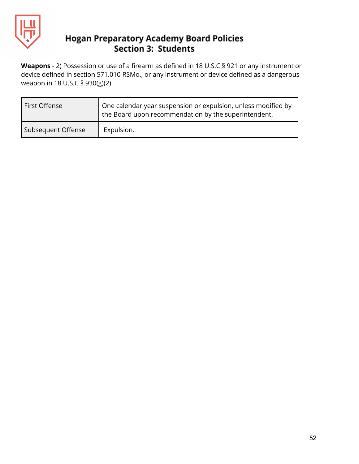

**Weapons** - 2) Possession or use of a firearm as defined in 18 U.S.C § 921 or any instrument or device defined in section 571.010 RSMo., or any instrument or device defined as a dangerous weapon in 18 U.S.C § 930(g)(2).

| First Offense      | <sup>1</sup> One calendar year suspension or expulsion, unless modified by<br>the Board upon recommendation by the superintendent. |
|--------------------|------------------------------------------------------------------------------------------------------------------------------------|
| Subsequent Offense | Expulsion.                                                                                                                         |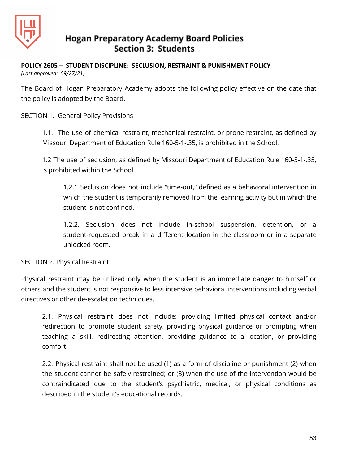

#### **POLICY 2605 – STUDENT DISCIPLINE: SECLUSION, RESTRAINT & PUNISHMENT POLICY** *(Last approved: 09/27/21)*

The Board of Hogan Preparatory Academy adopts the following policy effective on the date that the policy is adopted by the Board.

SECTION 1. General Policy Provisions

1.1. The use of chemical restraint, mechanical restraint, or prone restraint, as defined by Missouri Department of Education Rule 160-5-1-.35, is prohibited in the School.

1.2 The use of seclusion, as defined by Missouri Department of Education Rule 160-5-1-.35, is prohibited within the School.

1.2.1 Seclusion does not include "time-out," defined as a behavioral intervention in which the student is temporarily removed from the learning activity but in which the student is not confined.

1.2.2. Seclusion does not include in-school suspension, detention, or a student-requested break in a different location in the classroom or in a separate unlocked room.

SECTION 2. Physical Restraint

Physical restraint may be utilized only when the student is an immediate danger to himself or others and the student is not responsive to less intensive behavioral interventions including verbal directives or other de-escalation techniques.

2.1. Physical restraint does not include: providing limited physical contact and/or redirection to promote student safety, providing physical guidance or prompting when teaching a skill, redirecting attention, providing guidance to a location, or providing comfort.

2.2. Physical restraint shall not be used (1) as a form of discipline or punishment (2) when the student cannot be safely restrained; or (3) when the use of the intervention would be contraindicated due to the student's psychiatric, medical, or physical conditions as described in the student's educational records.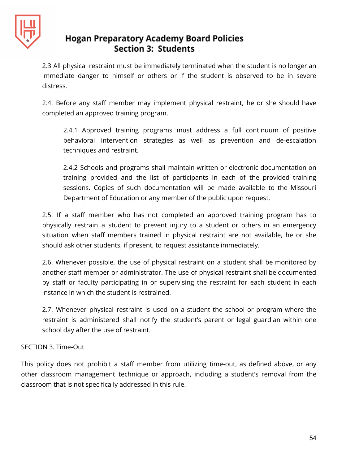

2.3 All physical restraint must be immediately terminated when the student is no longer an immediate danger to himself or others or if the student is observed to be in severe distress.

2.4. Before any staff member may implement physical restraint, he or she should have completed an approved training program.

2.4.1 Approved training programs must address a full continuum of positive behavioral intervention strategies as well as prevention and de-escalation techniques and restraint.

2.4.2 Schools and programs shall maintain written or electronic documentation on training provided and the list of participants in each of the provided training sessions. Copies of such documentation will be made available to the Missouri Department of Education or any member of the public upon request.

2.5. If a staff member who has not completed an approved training program has to physically restrain a student to prevent injury to a student or others in an emergency situation when staff members trained in physical restraint are not available, he or she should ask other students, if present, to request assistance immediately.

2.6. Whenever possible, the use of physical restraint on a student shall be monitored by another staff member or administrator. The use of physical restraint shall be documented by staff or faculty participating in or supervising the restraint for each student in each instance in which the student is restrained.

2.7. Whenever physical restraint is used on a student the school or program where the restraint is administered shall notify the student's parent or legal guardian within one school day after the use of restraint.

#### SECTION 3. Time-Out

This policy does not prohibit a staff member from utilizing time-out, as defined above, or any other classroom management technique or approach, including a student's removal from the classroom that is not specifically addressed in this rule.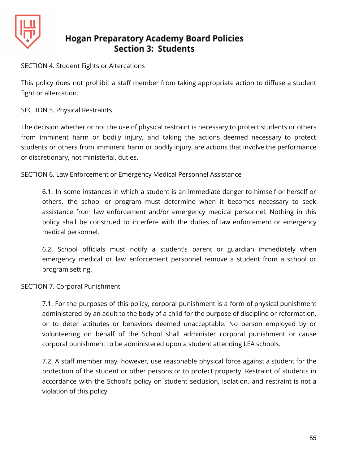

SECTION 4. Student Fights or Altercations

This policy does not prohibit a staff member from taking appropriate action to diffuse a student fight or altercation.

SECTION 5. Physical Restraints

The decision whether or not the use of physical restraint is necessary to protect students or others from imminent harm or bodily injury, and taking the actions deemed necessary to protect students or others from imminent harm or bodily injury, are actions that involve the performance of discretionary, not ministerial, duties.

SECTION 6. Law Enforcement or Emergency Medical Personnel Assistance

6.1. In some instances in which a student is an immediate danger to himself or herself or others, the school or program must determine when it becomes necessary to seek assistance from law enforcement and/or emergency medical personnel. Nothing in this policy shall be construed to interfere with the duties of law enforcement or emergency medical personnel.

6.2. School officials must notify a student's parent or guardian immediately when emergency medical or law enforcement personnel remove a student from a school or program setting.

SECTION 7. Corporal Punishment

7.1. For the purposes of this policy, corporal punishment is a form of physical punishment administered by an adult to the body of a child for the purpose of discipline or reformation, or to deter attitudes or behaviors deemed unacceptable. No person employed by or volunteering on behalf of the School shall administer corporal punishment or cause corporal punishment to be administered upon a student attending LEA schools.

7.2. A staff member may, however, use reasonable physical force against a student for the protection of the student or other persons or to protect property. Restraint of students in accordance with the School's policy on student seclusion, isolation, and restraint is not a violation of this policy.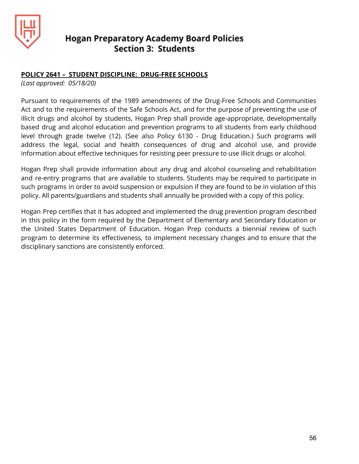

#### **POLICY 2641 – STUDENT DISCIPLINE: DRUG-FREE SCHOOLS**

*(Last approved: 05/18/20)*

Pursuant to requirements of the 1989 amendments of the Drug-Free Schools and Communities Act and to the requirements of the Safe Schools Act, and for the purpose of preventing the use of illicit drugs and alcohol by students, Hogan Prep shall provide age-appropriate, developmentally based drug and alcohol education and prevention programs to all students from early childhood level through grade twelve (12). (See also Policy 6130 - Drug Education.) Such programs will address the legal, social and health consequences of drug and alcohol use, and provide information about effective techniques for resisting peer pressure to use illicit drugs or alcohol.

Hogan Prep shall provide information about any drug and alcohol counseling and rehabilitation and re-entry programs that are available to students. Students may be required to participate in such programs in order to avoid suspension or expulsion if they are found to be in violation of this policy. All parents/guardians and students shall annually be provided with a copy of this policy.

Hogan Prep certifies that it has adopted and implemented the drug prevention program described in this policy in the form required by the Department of Elementary and Secondary Education or the United States Department of Education. Hogan Prep conducts a biennial review of such program to determine its effectiveness, to implement necessary changes and to ensure that the disciplinary sanctions are consistently enforced.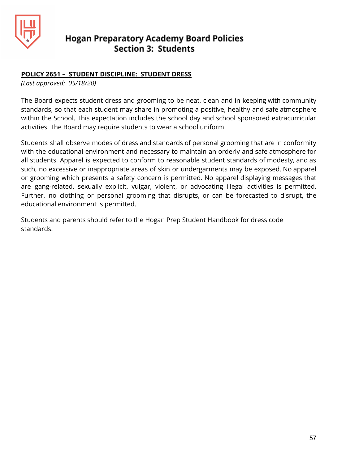

#### **POLICY 2651 – STUDENT DISCIPLINE: STUDENT DRESS**

*(Last approved: 05/18/20)*

The Board expects student dress and grooming to be neat, clean and in keeping with community standards, so that each student may share in promoting a positive, healthy and safe atmosphere within the School. This expectation includes the school day and school sponsored extracurricular activities. The Board may require students to wear a school uniform.

Students shall observe modes of dress and standards of personal grooming that are in conformity with the educational environment and necessary to maintain an orderly and safe atmosphere for all students. Apparel is expected to conform to reasonable student standards of modesty, and as such, no excessive or inappropriate areas of skin or undergarments may be exposed. No apparel or grooming which presents a safety concern is permitted. No apparel displaying messages that are gang-related, sexually explicit, vulgar, violent, or advocating illegal activities is permitted. Further, no clothing or personal grooming that disrupts, or can be forecasted to disrupt, the educational environment is permitted.

Students and parents should refer to the Hogan Prep Student Handbook for dress code standards.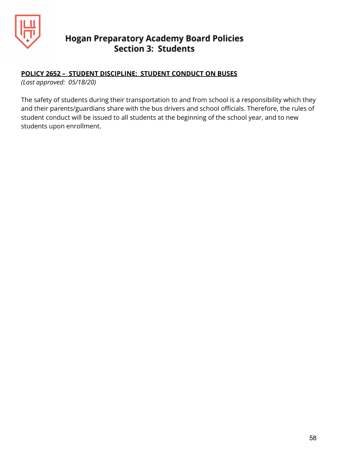

#### **POLICY 2652 – STUDENT DISCIPLINE: STUDENT CONDUCT ON BUSES**

*(Last approved: 05/18/20)*

The safety of students during their transportation to and from school is a responsibility which they and their parents/guardians share with the bus drivers and school officials. Therefore, the rules of student conduct will be issued to all students at the beginning of the school year, and to new students upon enrollment.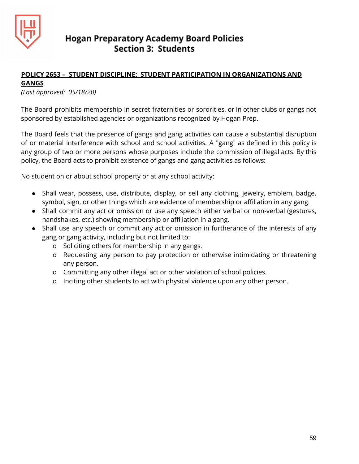

#### **POLICY 2653 – STUDENT DISCIPLINE: STUDENT PARTICIPATION IN ORGANIZATIONS AND**

#### **GANGS**

*(Last approved: 05/18/20)*

The Board prohibits membership in secret fraternities or sororities, or in other clubs or gangs not sponsored by established agencies or organizations recognized by Hogan Prep.

The Board feels that the presence of gangs and gang activities can cause a substantial disruption of or material interference with school and school activities. A "gang" as defined in this policy is any group of two or more persons whose purposes include the commission of illegal acts. By this policy, the Board acts to prohibit existence of gangs and gang activities as follows:

No student on or about school property or at any school activity:

- Shall wear, possess, use, distribute, display, or sell any clothing, jewelry, emblem, badge, symbol, sign, or other things which are evidence of membership or affiliation in any gang.
- Shall commit any act or omission or use any speech either verbal or non-verbal (gestures, handshakes, etc.) showing membership or affiliation in a gang.
- Shall use any speech or commit any act or omission in furtherance of the interests of any gang or gang activity, including but not limited to:
	- o Soliciting others for membership in any gangs.
	- o Requesting any person to pay protection or otherwise intimidating or threatening any person.
	- o Committing any other illegal act or other violation of school policies.
	- o Inciting other students to act with physical violence upon any other person.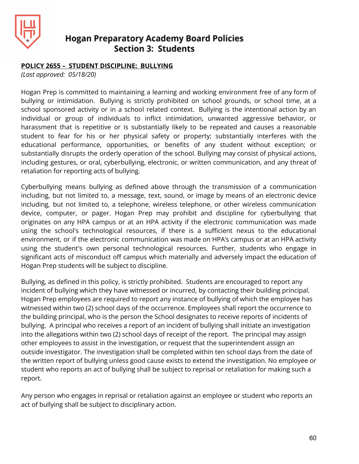

#### **POLICY 2655 – STUDENT DISCIPLINE: BULLYING**

*(Last approved: 05/18/20)*

Hogan Prep is committed to maintaining a learning and working environment free of any form of bullying or intimidation. Bullying is strictly prohibited on school grounds, or school time, at a school sponsored activity or in a school related context. Bullying is the intentional action by an individual or group of individuals to inflict intimidation, unwanted aggressive behavior, or harassment that is repetitive or is substantially likely to be repeated and causes a reasonable student to fear for his or her physical safety or property; substantially interferes with the educational performance, opportunities, or benefits of any student without exception; or substantially disrupts the orderly operation of the school. Bullying may consist of physical actions, including gestures, or oral, cyberbullying, electronic, or written communication, and any threat of retaliation for reporting acts of bullying.

Cyberbullying means bullying as defined above through the transmission of a communication including, but not limited to, a message, text, sound, or image by means of an electronic device including, but not limited to, a telephone, wireless telephone, or other wireless communication device, computer, or pager. Hogan Prep may prohibit and discipline for cyberbullying that originates on any HPA campus or at an HPA activity if the electronic communication was made using the school's technological resources, if there is a sufficient nexus to the educational environment, or if the electronic communication was made on HPA's campus or at an HPA activity using the student's own personal technological resources. Further, students who engage in significant acts of misconduct off campus which materially and adversely impact the education of Hogan Prep students will be subject to discipline.

Bullying, as defined in this policy, is strictly prohibited. Students are encouraged to report any incident of bullying which they have witnessed or incurred, by contacting their building principal. Hogan Prep employees are required to report any instance of bullying of which the employee has witnessed within two (2) school days of the occurrence. Employees shall report the occurrence to the building principal, who is the person the School designates to receive reports of incidents of bullying. A principal who receives a report of an incident of bullying shall initiate an investigation into the allegations within two (2) school days of receipt of the report. The principal may assign other employees to assist in the investigation, or request that the superintendent assign an outside investigator. The investigation shall be completed within ten school days from the date of the written report of bullying unless good cause exists to extend the investigation. No employee or student who reports an act of bullying shall be subject to reprisal or retaliation for making such a report.

Any person who engages in reprisal or retaliation against an employee or student who reports an act of bullying shall be subject to disciplinary action.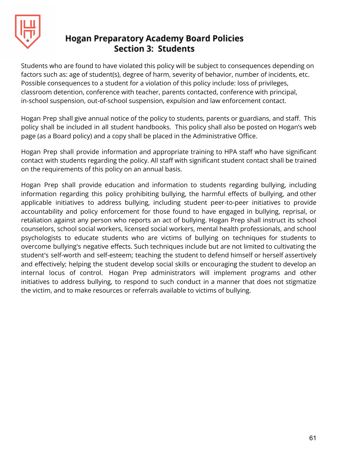

Students who are found to have violated this policy will be subject to consequences depending on factors such as: age of student(s), degree of harm, severity of behavior, number of incidents, etc. Possible consequences to a student for a violation of this policy include: loss of privileges, classroom detention, conference with teacher, parents contacted, conference with principal, in-school suspension, out-of-school suspension, expulsion and law enforcement contact.

Hogan Prep shall give annual notice of the policy to students, parents or guardians, and staff. This policy shall be included in all student handbooks. This policy shall also be posted on Hogan's web page (as a Board policy) and a copy shall be placed in the Administrative Office.

Hogan Prep shall provide information and appropriate training to HPA staff who have significant contact with students regarding the policy. All staff with significant student contact shall be trained on the requirements of this policy on an annual basis.

Hogan Prep shall provide education and information to students regarding bullying, including information regarding this policy prohibiting bullying, the harmful effects of bullying, and other applicable initiatives to address bullying, including student peer-to-peer initiatives to provide accountability and policy enforcement for those found to have engaged in bullying, reprisal, or retaliation against any person who reports an act of bullying. Hogan Prep shall instruct its school counselors, school social workers, licensed social workers, mental health professionals, and school psychologists to educate students who are victims of bullying on techniques for students to overcome bullying's negative effects. Such techniques include but are not limited to cultivating the student's self-worth and self-esteem; teaching the student to defend himself or herself assertively and effectively; helping the student develop social skills or encouraging the student to develop an internal locus of control. Hogan Prep administrators will implement programs and other initiatives to address bullying, to respond to such conduct in a manner that does not stigmatize the victim, and to make resources or referrals available to victims of bullying.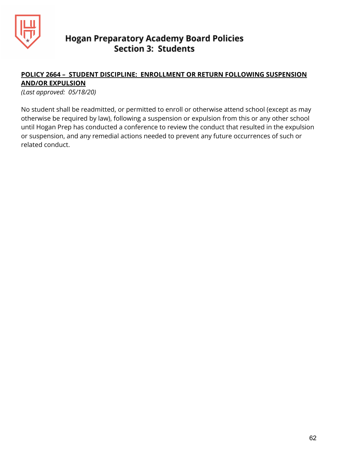

#### **POLICY 2664 – STUDENT DISCIPLINE: ENROLLMENT OR RETURN FOLLOWING SUSPENSION AND/OR EXPULSION**

*(Last approved: 05/18/20)*

No student shall be readmitted, or permitted to enroll or otherwise attend school (except as may otherwise be required by law), following a suspension or expulsion from this or any other school until Hogan Prep has conducted a conference to review the conduct that resulted in the expulsion or suspension, and any remedial actions needed to prevent any future occurrences of such or related conduct.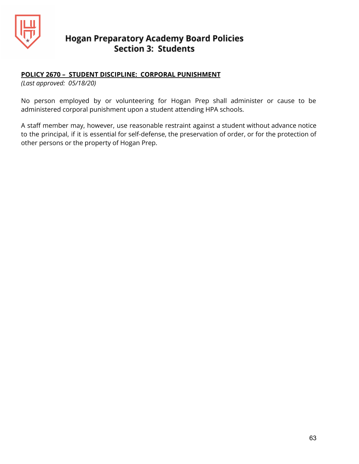

#### **POLICY 2670 – STUDENT DISCIPLINE: CORPORAL PUNISHMENT**

*(Last approved: 05/18/20)*

No person employed by or volunteering for Hogan Prep shall administer or cause to be administered corporal punishment upon a student attending HPA schools.

A staff member may, however, use reasonable restraint against a student without advance notice to the principal, if it is essential for self-defense, the preservation of order, or for the protection of other persons or the property of Hogan Prep.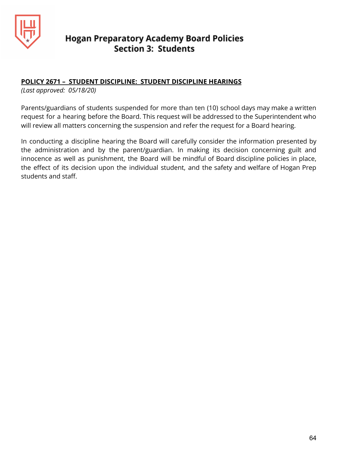

#### **POLICY 2671 – STUDENT DISCIPLINE: STUDENT DISCIPLINE HEARINGS**

*(Last approved: 05/18/20)*

Parents/guardians of students suspended for more than ten (10) school days may make a written request for a hearing before the Board. This request will be addressed to the Superintendent who will review all matters concerning the suspension and refer the request for a Board hearing.

In conducting a discipline hearing the Board will carefully consider the information presented by the administration and by the parent/guardian. In making its decision concerning guilt and innocence as well as punishment, the Board will be mindful of Board discipline policies in place, the effect of its decision upon the individual student, and the safety and welfare of Hogan Prep students and staff.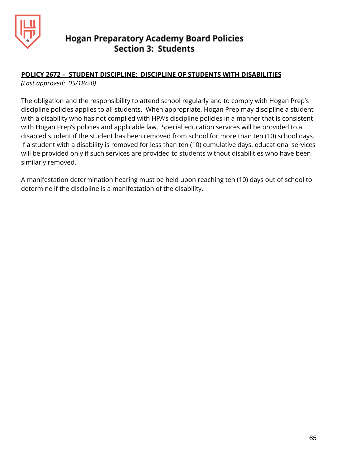

#### **POLICY 2672 – STUDENT DISCIPLINE: DISCIPLINE OF STUDENTS WITH DISABILITIES**

*(Last approved: 05/18/20)*

The obligation and the responsibility to attend school regularly and to comply with Hogan Prep's discipline policies applies to all students. When appropriate, Hogan Prep may discipline a student with a disability who has not complied with HPA's discipline policies in a manner that is consistent with Hogan Prep's policies and applicable law. Special education services will be provided to a disabled student if the student has been removed from school for more than ten (10) school days. If a student with a disability is removed for less than ten (10) cumulative days, educational services will be provided only if such services are provided to students without disabilities who have been similarly removed.

A manifestation determination hearing must be held upon reaching ten (10) days out of school to determine if the discipline is a manifestation of the disability.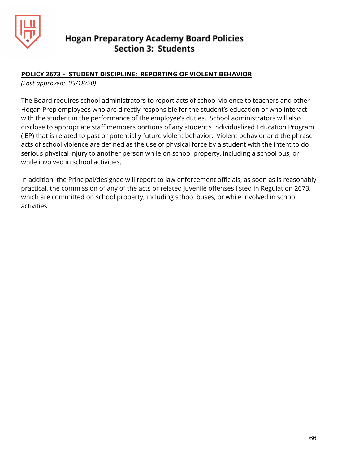

#### **POLICY 2673 – STUDENT DISCIPLINE: REPORTING OF VIOLENT BEHAVIOR**

*(Last approved: 05/18/20)*

The Board requires school administrators to report acts of school violence to teachers and other Hogan Prep employees who are directly responsible for the student's education or who interact with the student in the performance of the employee's duties. School administrators will also disclose to appropriate staff members portions of any student's Individualized Education Program (IEP) that is related to past or potentially future violent behavior. Violent behavior and the phrase acts of school violence are defined as the use of physical force by a student with the intent to do serious physical injury to another person while on school property, including a school bus, or while involved in school activities.

In addition, the Principal/designee will report to law enforcement officials, as soon as is reasonably practical, the commission of any of the acts or related juvenile offenses listed in Regulation 2673, which are committed on school property, including school buses, or while involved in school activities.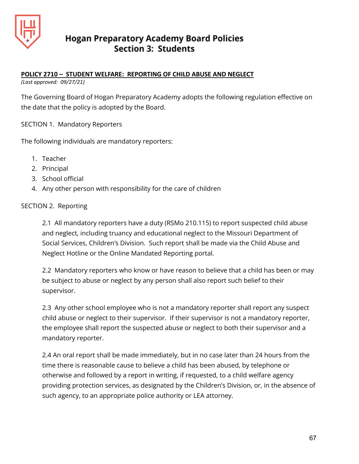

#### **POLICY 2710 – STUDENT WELFARE: REPORTING OF CHILD ABUSE AND NEGLECT**

*(Last approved: 09/27/21)*

The Governing Board of Hogan Preparatory Academy adopts the following regulation effective on the date that the policy is adopted by the Board.

SECTION 1. Mandatory Reporters

The following individuals are mandatory reporters:

- 1. Teacher
- 2. Principal
- 3. School official
- 4. Any other person with responsibility for the care of children

#### SECTION 2. Reporting

2.1 All mandatory reporters have a duty (RSMo 210.115) to report suspected child abuse and neglect, including truancy and educational neglect to the Missouri Department of Social Services, Children's Division. Such report shall be made via the Child Abuse and Neglect Hotline or the Online Mandated Reporting portal.

2.2 Mandatory reporters who know or have reason to believe that a child has been or may be subject to abuse or neglect by any person shall also report such belief to their supervisor.

2.3 Any other school employee who is not a mandatory reporter shall report any suspect child abuse or neglect to their supervisor. If their supervisor is not a mandatory reporter, the employee shall report the suspected abuse or neglect to both their supervisor and a mandatory reporter.

2.4 An oral report shall be made immediately, but in no case later than 24 hours from the time there is reasonable cause to believe a child has been abused, by telephone or otherwise and followed by a report in writing, if requested, to a child welfare agency providing protection services, as designated by the Children's Division, or, in the absence of such agency, to an appropriate police authority or LEA attorney.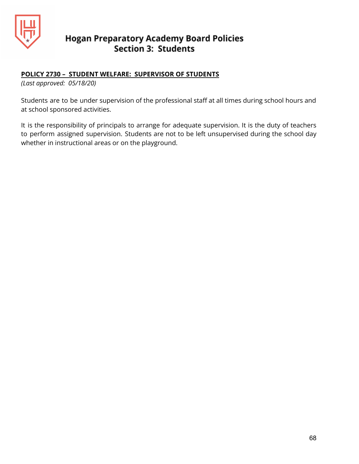

#### **POLICY 2730 – STUDENT WELFARE: SUPERVISOR OF STUDENTS**

*(Last approved: 05/18/20)*

Students are to be under supervision of the professional staff at all times during school hours and at school sponsored activities.

It is the responsibility of principals to arrange for adequate supervision. It is the duty of teachers to perform assigned supervision. Students are not to be left unsupervised during the school day whether in instructional areas or on the playground.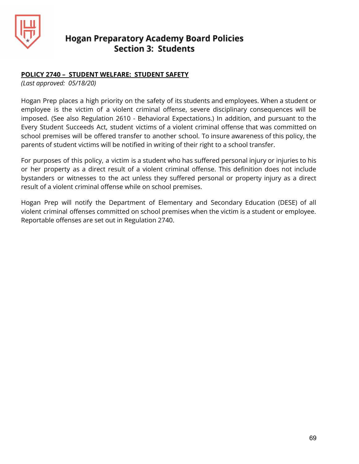

#### **POLICY 2740 – STUDENT WELFARE: STUDENT SAFETY**

*(Last approved: 05/18/20)*

Hogan Prep places a high priority on the safety of its students and employees. When a student or employee is the victim of a violent criminal offense, severe disciplinary consequences will be imposed. (See also Regulation 2610 - Behavioral Expectations.) In addition, and pursuant to the Every Student Succeeds Act, student victims of a violent criminal offense that was committed on school premises will be offered transfer to another school. To insure awareness of this policy, the parents of student victims will be notified in writing of their right to a school transfer.

For purposes of this policy, a victim is a student who has suffered personal injury or injuries to his or her property as a direct result of a violent criminal offense. This definition does not include bystanders or witnesses to the act unless they suffered personal or property injury as a direct result of a violent criminal offense while on school premises.

Hogan Prep will notify the Department of Elementary and Secondary Education (DESE) of all violent criminal offenses committed on school premises when the victim is a student or employee. Reportable offenses are set out in Regulation 2740.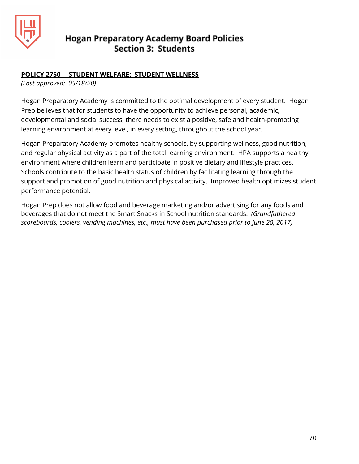

#### **POLICY 2750 – STUDENT WELFARE: STUDENT WELLNESS**

*(Last approved: 05/18/20)*

Hogan Preparatory Academy is committed to the optimal development of every student. Hogan Prep believes that for students to have the opportunity to achieve personal, academic, developmental and social success, there needs to exist a positive, safe and health-promoting learning environment at every level, in every setting, throughout the school year.

Hogan Preparatory Academy promotes healthy schools, by supporting wellness, good nutrition, and regular physical activity as a part of the total learning environment. HPA supports a healthy environment where children learn and participate in positive dietary and lifestyle practices. Schools contribute to the basic health status of children by facilitating learning through the support and promotion of good nutrition and physical activity. Improved health optimizes student performance potential.

Hogan Prep does not allow food and beverage marketing and/or advertising for any foods and beverages that do not meet the Smart Snacks in School nutrition standards. *(Grandfathered scoreboards, coolers, vending machines, etc., must have been purchased prior to June 20, 2017)*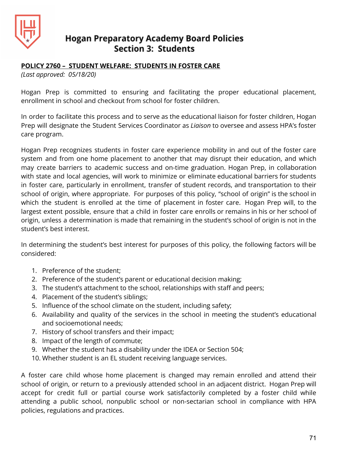

#### **POLICY 2760 – STUDENT WELFARE: STUDENTS IN FOSTER CARE**

*(Last approved: 05/18/20)*

Hogan Prep is committed to ensuring and facilitating the proper educational placement, enrollment in school and checkout from school for foster children.

In order to facilitate this process and to serve as the educational liaison for foster children, Hogan Prep will designate the Student Services Coordinator as *Liaison* to oversee and assess HPA's foster care program.

Hogan Prep recognizes students in foster care experience mobility in and out of the foster care system and from one home placement to another that may disrupt their education, and which may create barriers to academic success and on-time graduation. Hogan Prep, in collaboration with state and local agencies, will work to minimize or eliminate educational barriers for students in foster care, particularly in enrollment, transfer of student records, and transportation to their school of origin, where appropriate. For purposes of this policy, "school of origin" is the school in which the student is enrolled at the time of placement in foster care. Hogan Prep will, to the largest extent possible, ensure that a child in foster care enrolls or remains in his or her school of origin, unless a determination is made that remaining in the student's school of origin is not in the student's best interest.

In determining the student's best interest for purposes of this policy, the following factors will be considered:

- 1. Preference of the student;
- 2. Preference of the student's parent or educational decision making;
- 3. The student's attachment to the school, relationships with staff and peers;
- 4. Placement of the student's siblings;
- 5. Influence of the school climate on the student, including safety;
- 6. Availability and quality of the services in the school in meeting the student's educational and socioemotional needs;
- 7. History of school transfers and their impact;
- 8. Impact of the length of commute;
- 9. Whether the student has a disability under the IDEA or Section 504;
- 10. Whether student is an EL student receiving language services.

A foster care child whose home placement is changed may remain enrolled and attend their school of origin, or return to a previously attended school in an adjacent district. Hogan Prep will accept for credit full or partial course work satisfactorily completed by a foster child while attending a public school, nonpublic school or non-sectarian school in compliance with HPA policies, regulations and practices.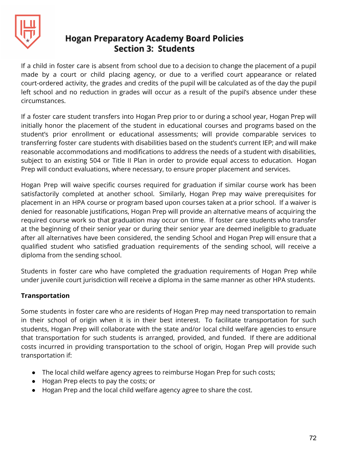

If a child in foster care is absent from school due to a decision to change the placement of a pupil made by a court or child placing agency, or due to a verified court appearance or related court-ordered activity, the grades and credits of the pupil will be calculated as of the day the pupil left school and no reduction in grades will occur as a result of the pupil's absence under these circumstances.

If a foster care student transfers into Hogan Prep prior to or during a school year, Hogan Prep will initially honor the placement of the student in educational courses and programs based on the student's prior enrollment or educational assessments; will provide comparable services to transferring foster care students with disabilities based on the student's current IEP; and will make reasonable accommodations and modifications to address the needs of a student with disabilities, subject to an existing 504 or Title II Plan in order to provide equal access to education. Hogan Prep will conduct evaluations, where necessary, to ensure proper placement and services.

Hogan Prep will waive specific courses required for graduation if similar course work has been satisfactorily completed at another school. Similarly, Hogan Prep may waive prerequisites for placement in an HPA course or program based upon courses taken at a prior school. If a waiver is denied for reasonable justifications, Hogan Prep will provide an alternative means of acquiring the required course work so that graduation may occur on time. If foster care students who transfer at the beginning of their senior year or during their senior year are deemed ineligible to graduate after all alternatives have been considered, the sending School and Hogan Prep will ensure that a qualified student who satisfied graduation requirements of the sending school, will receive a diploma from the sending school.

Students in foster care who have completed the graduation requirements of Hogan Prep while under juvenile court jurisdiction will receive a diploma in the same manner as other HPA students.

#### **Transportation**

Some students in foster care who are residents of Hogan Prep may need transportation to remain in their school of origin when it is in their best interest. To facilitate transportation for such students, Hogan Prep will collaborate with the state and/or local child welfare agencies to ensure that transportation for such students is arranged, provided, and funded. If there are additional costs incurred in providing transportation to the school of origin, Hogan Prep will provide such transportation if:

- The local child welfare agency agrees to reimburse Hogan Prep for such costs;
- Hogan Prep elects to pay the costs; or
- Hogan Prep and the local child welfare agency agree to share the cost.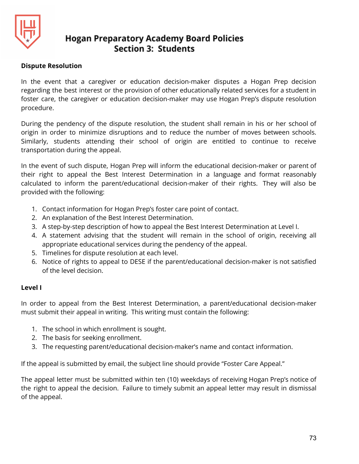

### **Dispute Resolution**

In the event that a caregiver or education decision-maker disputes a Hogan Prep decision regarding the best interest or the provision of other educationally related services for a student in foster care, the caregiver or education decision-maker may use Hogan Prep's dispute resolution procedure.

During the pendency of the dispute resolution, the student shall remain in his or her school of origin in order to minimize disruptions and to reduce the number of moves between schools. Similarly, students attending their school of origin are entitled to continue to receive transportation during the appeal.

In the event of such dispute, Hogan Prep will inform the educational decision-maker or parent of their right to appeal the Best Interest Determination in a language and format reasonably calculated to inform the parent/educational decision-maker of their rights. They will also be provided with the following:

- 1. Contact information for Hogan Prep's foster care point of contact.
- 2. An explanation of the Best Interest Determination.
- 3. A step-by-step description of how to appeal the Best Interest Determination at Level I.
- 4. A statement advising that the student will remain in the school of origin, receiving all appropriate educational services during the pendency of the appeal.
- 5. Timelines for dispute resolution at each level.
- 6. Notice of rights to appeal to DESE if the parent/educational decision-maker is not satisfied of the level decision.

### **Level I**

In order to appeal from the Best Interest Determination, a parent/educational decision-maker must submit their appeal in writing. This writing must contain the following:

- 1. The school in which enrollment is sought.
- 2. The basis for seeking enrollment.
- 3. The requesting parent/educational decision-maker's name and contact information.

If the appeal is submitted by email, the subject line should provide "Foster Care Appeal."

The appeal letter must be submitted within ten (10) weekdays of receiving Hogan Prep's notice of the right to appeal the decision. Failure to timely submit an appeal letter may result in dismissal of the appeal.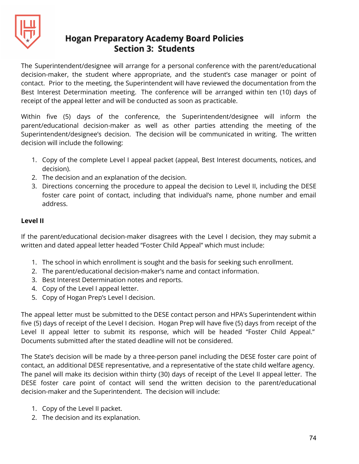

The Superintendent/designee will arrange for a personal conference with the parent/educational decision-maker, the student where appropriate, and the student's case manager or point of contact. Prior to the meeting, the Superintendent will have reviewed the documentation from the Best Interest Determination meeting. The conference will be arranged within ten (10) days of receipt of the appeal letter and will be conducted as soon as practicable.

Within five (5) days of the conference, the Superintendent/designee will inform the parent/educational decision-maker as well as other parties attending the meeting of the Superintendent/designee's decision. The decision will be communicated in writing. The written decision will include the following:

- 1. Copy of the complete Level I appeal packet (appeal, Best Interest documents, notices, and decision).
- 2. The decision and an explanation of the decision.
- 3. Directions concerning the procedure to appeal the decision to Level II, including the DESE foster care point of contact, including that individual's name, phone number and email address.

### **Level II**

If the parent/educational decision-maker disagrees with the Level I decision, they may submit a written and dated appeal letter headed "Foster Child Appeal" which must include:

- 1. The school in which enrollment is sought and the basis for seeking such enrollment.
- 2. The parent/educational decision-maker's name and contact information.
- 3. Best Interest Determination notes and reports.
- 4. Copy of the Level I appeal letter.
- 5. Copy of Hogan Prep's Level I decision.

The appeal letter must be submitted to the DESE contact person and HPA's Superintendent within five (5) days of receipt of the Level I decision. Hogan Prep will have five (5) days from receipt of the Level II appeal letter to submit its response, which will be headed "Foster Child Appeal." Documents submitted after the stated deadline will not be considered.

The State's decision will be made by a three-person panel including the DESE foster care point of contact, an additional DESE representative, and a representative of the state child welfare agency. The panel will make its decision within thirty (30) days of receipt of the Level II appeal letter. The DESE foster care point of contact will send the written decision to the parent/educational decision-maker and the Superintendent. The decision will include:

- 1. Copy of the Level II packet.
- 2. The decision and its explanation.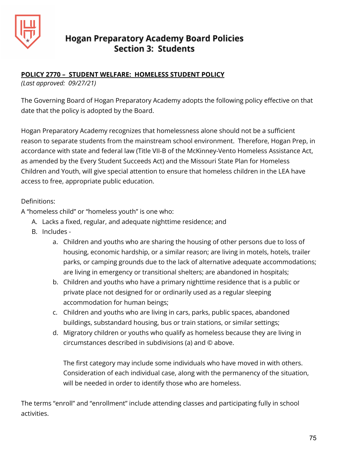

### **POLICY 2770 – STUDENT WELFARE: HOMELESS STUDENT POLICY**

*(Last approved: 09/27/21)*

The Governing Board of Hogan Preparatory Academy adopts the following policy effective on that date that the policy is adopted by the Board.

Hogan Preparatory Academy recognizes that homelessness alone should not be a sufficient reason to separate students from the mainstream school environment. Therefore, Hogan Prep, in accordance with state and federal law (Title VII-B of the McKinney-Vento Homeless Assistance Act, as amended by the Every Student Succeeds Act) and the Missouri State Plan for Homeless Children and Youth, will give special attention to ensure that homeless children in the LEA have access to free, appropriate public education.

Definitions:

A "homeless child" or "homeless youth" is one who:

- A. Lacks a fixed, regular, and adequate nighttime residence; and
- B. Includes
	- a. Children and youths who are sharing the housing of other persons due to loss of housing, economic hardship, or a similar reason; are living in motels, hotels, trailer parks, or camping grounds due to the lack of alternative adequate accommodations; are living in emergency or transitional shelters; are abandoned in hospitals;
	- b. Children and youths who have a primary nighttime residence that is a public or private place not designed for or ordinarily used as a regular sleeping accommodation for human beings;
	- c. Children and youths who are living in cars, parks, public spaces, abandoned buildings, substandard housing, bus or train stations, or similar settings;
	- d. Migratory children or youths who qualify as homeless because they are living in circumstances described in subdivisions (a) and © above.

The first category may include some individuals who have moved in with others. Consideration of each individual case, along with the permanency of the situation, will be needed in order to identify those who are homeless.

The terms "enroll" and "enrollment" include attending classes and participating fully in school activities.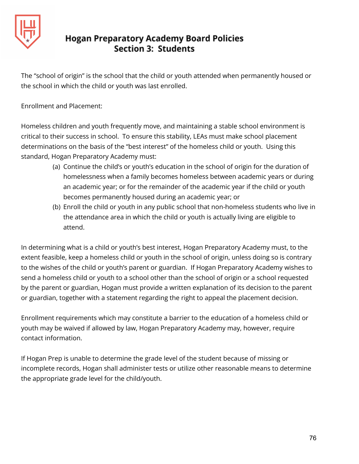

The "school of origin" is the school that the child or youth attended when permanently housed or the school in which the child or youth was last enrolled.

Enrollment and Placement:

Homeless children and youth frequently move, and maintaining a stable school environment is critical to their success in school. To ensure this stability, LEAs must make school placement determinations on the basis of the "best interest" of the homeless child or youth. Using this standard, Hogan Preparatory Academy must:

- (a) Continue the child's or youth's education in the school of origin for the duration of homelessness when a family becomes homeless between academic years or during an academic year; or for the remainder of the academic year if the child or youth becomes permanently housed during an academic year; or
- (b) Enroll the child or youth in any public school that non-homeless students who live in the attendance area in which the child or youth is actually living are eligible to attend.

In determining what is a child or youth's best interest, Hogan Preparatory Academy must, to the extent feasible, keep a homeless child or youth in the school of origin, unless doing so is contrary to the wishes of the child or youth's parent or guardian. If Hogan Preparatory Academy wishes to send a homeless child or youth to a school other than the school of origin or a school requested by the parent or guardian, Hogan must provide a written explanation of its decision to the parent or guardian, together with a statement regarding the right to appeal the placement decision.

Enrollment requirements which may constitute a barrier to the education of a homeless child or youth may be waived if allowed by law, Hogan Preparatory Academy may, however, require contact information.

If Hogan Prep is unable to determine the grade level of the student because of missing or incomplete records, Hogan shall administer tests or utilize other reasonable means to determine the appropriate grade level for the child/youth.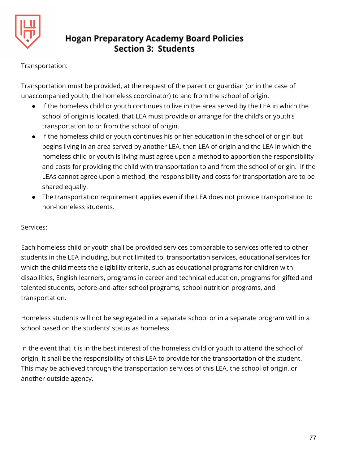

### Transportation:

Transportation must be provided, at the request of the parent or guardian (or in the case of unaccompanied youth, the homeless coordinator) to and from the school of origin.

- If the homeless child or youth continues to live in the area served by the LEA in which the school of origin is located, that LEA must provide or arrange for the child's or youth's transportation to or from the school of origin.
- If the homeless child or youth continues his or her education in the school of origin but begins living in an area served by another LEA, then LEA of origin and the LEA in which the homeless child or youth is living must agree upon a method to apportion the responsibility and costs for providing the child with transportation to and from the school of origin. If the LEAs cannot agree upon a method, the responsibility and costs for transportation are to be shared equally.
- The transportation requirement applies even if the LEA does not provide transportation to non-homeless students.

### Services:

Each homeless child or youth shall be provided services comparable to services offered to other students in the LEA including, but not limited to, transportation services, educational services for which the child meets the eligibility criteria, such as educational programs for children with disabilities, English learners, programs in career and technical education, programs for gifted and talented students, before-and-after school programs, school nutrition programs, and transportation.

Homeless students will not be segregated in a separate school or in a separate program within a school based on the students' status as homeless.

In the event that it is in the best interest of the homeless child or youth to attend the school of origin, it shall be the responsibility of this LEA to provide for the transportation of the student. This may be achieved through the transportation services of this LEA, the school of origin, or another outside agency.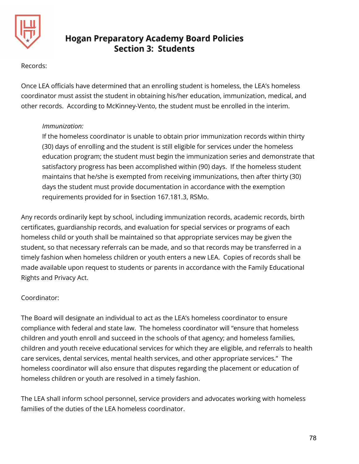

### Records:

Once LEA officials have determined that an enrolling student is homeless, the LEA's homeless coordinator must assist the student in obtaining his/her education, immunization, medical, and other records. According to McKinney-Vento, the student must be enrolled in the interim.

### *Immunization:*

If the homeless coordinator is unable to obtain prior immunization records within thirty (30) days of enrolling and the student is still eligible for services under the homeless education program; the student must begin the immunization series and demonstrate that satisfactory progress has been accomplished within (90) days. If the homeless student maintains that he/she is exempted from receiving immunizations, then after thirty (30) days the student must provide documentation in accordance with the exemption requirements provided for in §section 167.181.3, RSMo.

Any records ordinarily kept by school, including immunization records, academic records, birth certificates, guardianship records, and evaluation for special services or programs of each homeless child or youth shall be maintained so that appropriate services may be given the student, so that necessary referrals can be made, and so that records may be transferred in a timely fashion when homeless children or youth enters a new LEA. Copies of records shall be made available upon request to students or parents in accordance with the Family Educational Rights and Privacy Act.

### Coordinator:

The Board will designate an individual to act as the LEA's homeless coordinator to ensure compliance with federal and state law. The homeless coordinator will "ensure that homeless children and youth enroll and succeed in the schools of that agency; and homeless families, children and youth receive educational services for which they are eligible, and referrals to health care services, dental services, mental health services, and other appropriate services." The homeless coordinator will also ensure that disputes regarding the placement or education of homeless children or youth are resolved in a timely fashion.

The LEA shall inform school personnel, service providers and advocates working with homeless families of the duties of the LEA homeless coordinator.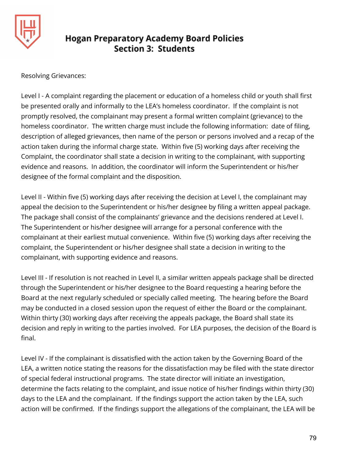

Resolving Grievances:

Level I - A complaint regarding the placement or education of a homeless child or youth shall first be presented orally and informally to the LEA's homeless coordinator. If the complaint is not promptly resolved, the complainant may present a formal written complaint (grievance) to the homeless coordinator. The written charge must include the following information: date of filing, description of alleged grievances, then name of the person or persons involved and a recap of the action taken during the informal charge state. Within five (5) working days after receiving the Complaint, the coordinator shall state a decision in writing to the complainant, with supporting evidence and reasons. In addition, the coordinator will inform the Superintendent or his/her designee of the formal complaint and the disposition.

Level II - Within five (5) working days after receiving the decision at Level I, the complainant may appeal the decision to the Superintendent or his/her designee by filing a written appeal package. The package shall consist of the complainants' grievance and the decisions rendered at Level I. The Superintendent or his/her designee will arrange for a personal conference with the complainant at their earliest mutual convenience. Within five (5) working days after receiving the complaint, the Superintendent or his/her designee shall state a decision in writing to the complainant, with supporting evidence and reasons.

Level III - If resolution is not reached in Level II, a similar written appeals package shall be directed through the Superintendent or his/her designee to the Board requesting a hearing before the Board at the next regularly scheduled or specially called meeting. The hearing before the Board may be conducted in a closed session upon the request of either the Board or the complainant. Within thirty (30) working days after receiving the appeals package, the Board shall state its decision and reply in writing to the parties involved. For LEA purposes, the decision of the Board is final.

Level IV - If the complainant is dissatisfied with the action taken by the Governing Board of the LEA, a written notice stating the reasons for the dissatisfaction may be filed with the state director of special federal instructional programs. The state director will initiate an investigation, determine the facts relating to the complaint, and issue notice of his/her findings within thirty (30) days to the LEA and the complainant. If the findings support the action taken by the LEA, such action will be confirmed. If the findings support the allegations of the complainant, the LEA will be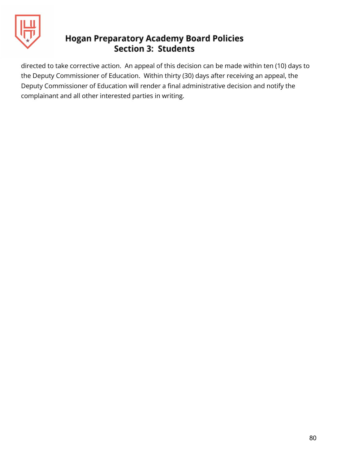

directed to take corrective action. An appeal of this decision can be made within ten (10) days to the Deputy Commissioner of Education. Within thirty (30) days after receiving an appeal, the Deputy Commissioner of Education will render a final administrative decision and notify the complainant and all other interested parties in writing.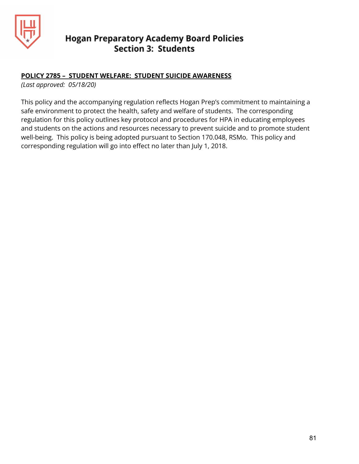

### **POLICY 2785 – STUDENT WELFARE: STUDENT SUICIDE AWARENESS**

*(Last approved: 05/18/20)*

This policy and the accompanying regulation reflects Hogan Prep's commitment to maintaining a safe environment to protect the health, safety and welfare of students. The corresponding regulation for this policy outlines key protocol and procedures for HPA in educating employees and students on the actions and resources necessary to prevent suicide and to promote student well-being. This policy is being adopted pursuant to Section 170.048, RSMo. This policy and corresponding regulation will go into effect no later than July 1, 2018.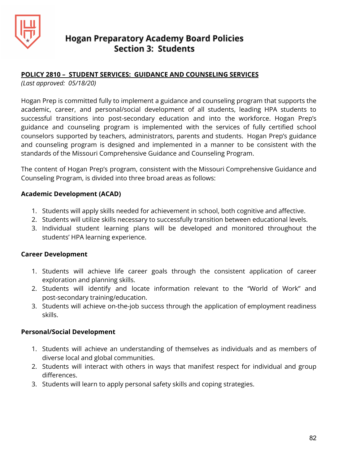

### **POLICY 2810 – STUDENT SERVICES: GUIDANCE AND COUNSELING SERVICES**

*(Last approved: 05/18/20)*

Hogan Prep is committed fully to implement a guidance and counseling program that supports the academic, career, and personal/social development of all students, leading HPA students to successful transitions into post-secondary education and into the workforce. Hogan Prep's guidance and counseling program is implemented with the services of fully certified school counselors supported by teachers, administrators, parents and students. Hogan Prep's guidance and counseling program is designed and implemented in a manner to be consistent with the standards of the Missouri Comprehensive Guidance and Counseling Program.

The content of Hogan Prep's program, consistent with the Missouri Comprehensive Guidance and Counseling Program, is divided into three broad areas as follows:

### **Academic Development (ACAD)**

- 1. Students will apply skills needed for achievement in school, both cognitive and affective.
- 2. Students will utilize skills necessary to successfully transition between educational levels.
- 3. Individual student learning plans will be developed and monitored throughout the students' HPA learning experience.

### **Career Development**

- 1. Students will achieve life career goals through the consistent application of career exploration and planning skills.
- 2. Students will identify and locate information relevant to the "World of Work" and post-secondary training/education.
- 3. Students will achieve on-the-job success through the application of employment readiness skills.

### **Personal/Social Development**

- 1. Students will achieve an understanding of themselves as individuals and as members of diverse local and global communities.
- 2. Students will interact with others in ways that manifest respect for individual and group differences.
- 3. Students will learn to apply personal safety skills and coping strategies.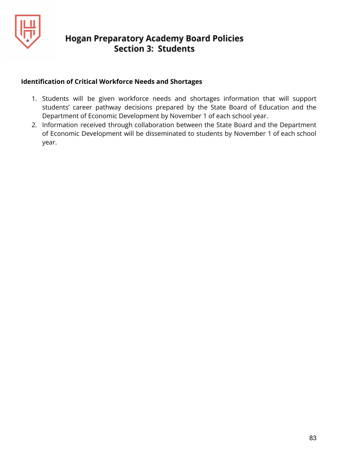

### **Identification of Critical Workforce Needs and Shortages**

- 1. Students will be given workforce needs and shortages information that will support students' career pathway decisions prepared by the State Board of Education and the Department of Economic Development by November 1 of each school year.
- 2. Information received through collaboration between the State Board and the Department of Economic Development will be disseminated to students by November 1 of each school year.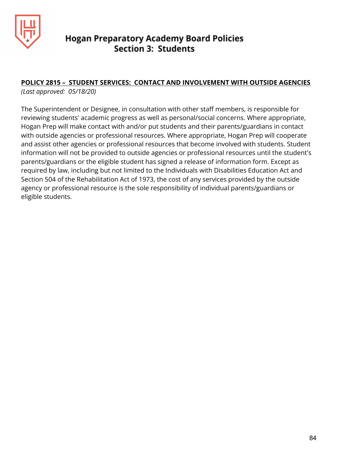

### **POLICY 2815 – STUDENT SERVICES: CONTACT AND INVOLVEMENT WITH OUTSIDE AGENCIES**

*(Last approved: 05/18/20)*

The Superintendent or Designee, in consultation with other staff members, is responsible for reviewing students' academic progress as well as personal/social concerns. Where appropriate, Hogan Prep will make contact with and/or put students and their parents/guardians in contact with outside agencies or professional resources. Where appropriate, Hogan Prep will cooperate and assist other agencies or professional resources that become involved with students. Student information will not be provided to outside agencies or professional resources until the student's parents/guardians or the eligible student has signed a release of information form. Except as required by law, including but not limited to the Individuals with Disabilities Education Act and Section 504 of the Rehabilitation Act of 1973, the cost of any services provided by the outside agency or professional resource is the sole responsibility of individual parents/guardians or eligible students.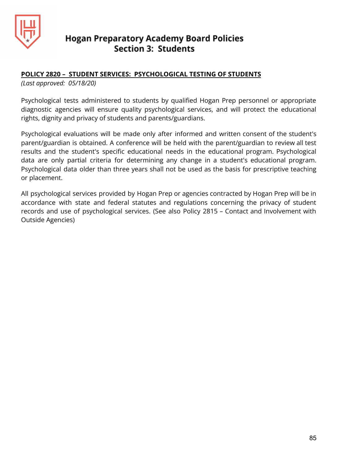

### **POLICY 2820 – STUDENT SERVICES: PSYCHOLOGICAL TESTING OF STUDENTS**

*(Last approved: 05/18/20)*

Psychological tests administered to students by qualified Hogan Prep personnel or appropriate diagnostic agencies will ensure quality psychological services, and will protect the educational rights, dignity and privacy of students and parents/guardians.

Psychological evaluations will be made only after informed and written consent of the student's parent/guardian is obtained. A conference will be held with the parent/guardian to review all test results and the student's specific educational needs in the educational program. Psychological data are only partial criteria for determining any change in a student's educational program. Psychological data older than three years shall not be used as the basis for prescriptive teaching or placement.

All psychological services provided by Hogan Prep or agencies contracted by Hogan Prep will be in accordance with state and federal statutes and regulations concerning the privacy of student records and use of psychological services. (See also Policy 2815 – Contact and Involvement with Outside Agencies)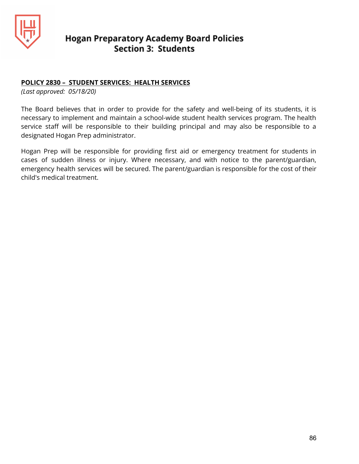

### **POLICY 2830 – STUDENT SERVICES: HEALTH SERVICES**

*(Last approved: 05/18/20)*

The Board believes that in order to provide for the safety and well-being of its students, it is necessary to implement and maintain a school-wide student health services program. The health service staff will be responsible to their building principal and may also be responsible to a designated Hogan Prep administrator.

Hogan Prep will be responsible for providing first aid or emergency treatment for students in cases of sudden illness or injury. Where necessary, and with notice to the parent/guardian, emergency health services will be secured. The parent/guardian is responsible for the cost of their child's medical treatment.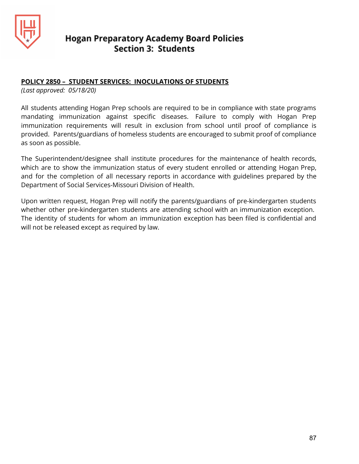

### **POLICY 2850 – STUDENT SERVICES: INOCULATIONS OF STUDENTS**

*(Last approved: 05/18/20)*

All students attending Hogan Prep schools are required to be in compliance with state programs mandating immunization against specific diseases. Failure to comply with Hogan Prep immunization requirements will result in exclusion from school until proof of compliance is provided. Parents/guardians of homeless students are encouraged to submit proof of compliance as soon as possible.

The Superintendent/designee shall institute procedures for the maintenance of health records, which are to show the immunization status of every student enrolled or attending Hogan Prep, and for the completion of all necessary reports in accordance with guidelines prepared by the Department of Social Services-Missouri Division of Health.

Upon written request, Hogan Prep will notify the parents/guardians of pre-kindergarten students whether other pre-kindergarten students are attending school with an immunization exception. The identity of students for whom an immunization exception has been filed is confidential and will not be released except as required by law.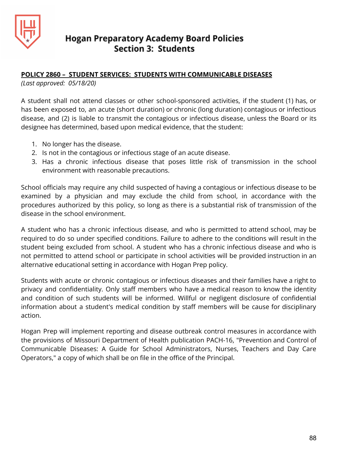

### **POLICY 2860 – STUDENT SERVICES: STUDENTS WITH COMMUNICABLE DISEASES**

*(Last approved: 05/18/20)*

A student shall not attend classes or other school-sponsored activities, if the student (1) has, or has been exposed to, an acute (short duration) or chronic (long duration) contagious or infectious disease, and (2) is liable to transmit the contagious or infectious disease, unless the Board or its designee has determined, based upon medical evidence, that the student:

- 1. No longer has the disease.
- 2. Is not in the contagious or infectious stage of an acute disease.
- 3. Has a chronic infectious disease that poses little risk of transmission in the school environment with reasonable precautions.

School officials may require any child suspected of having a contagious or infectious disease to be examined by a physician and may exclude the child from school, in accordance with the procedures authorized by this policy, so long as there is a substantial risk of transmission of the disease in the school environment.

A student who has a chronic infectious disease, and who is permitted to attend school, may be required to do so under specified conditions. Failure to adhere to the conditions will result in the student being excluded from school. A student who has a chronic infectious disease and who is not permitted to attend school or participate in school activities will be provided instruction in an alternative educational setting in accordance with Hogan Prep policy.

Students with acute or chronic contagious or infectious diseases and their families have a right to privacy and confidentiality. Only staff members who have a medical reason to know the identity and condition of such students will be informed. Willful or negligent disclosure of confidential information about a student's medical condition by staff members will be cause for disciplinary action.

Hogan Prep will implement reporting and disease outbreak control measures in accordance with the provisions of Missouri Department of Health publication PACH-16, "Prevention and Control of Communicable Diseases: A Guide for School Administrators, Nurses, Teachers and Day Care Operators," a copy of which shall be on file in the office of the Principal.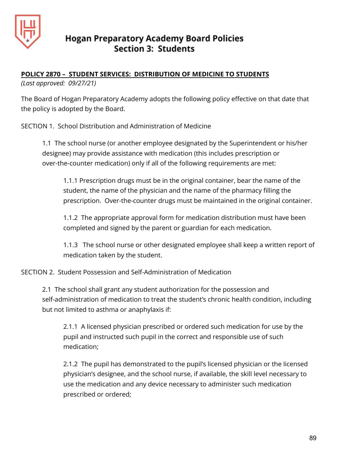

## **POLICY 2870 – STUDENT SERVICES: DISTRIBUTION OF MEDICINE TO STUDENTS**

*(Last approved: 09/27/21)*

The Board of Hogan Preparatory Academy adopts the following policy effective on that date that the policy is adopted by the Board.

SECTION 1. School Distribution and Administration of Medicine

1.1 The school nurse (or another employee designated by the Superintendent or his/her designee) may provide assistance with medication (this includes prescription or over-the-counter medication) only if all of the following requirements are met:

1.1.1 Prescription drugs must be in the original container, bear the name of the student, the name of the physician and the name of the pharmacy filling the prescription. Over-the-counter drugs must be maintained in the original container.

1.1.2 The appropriate approval form for medication distribution must have been completed and signed by the parent or guardian for each medication.

1.1.3 The school nurse or other designated employee shall keep a written report of medication taken by the student.

SECTION 2. Student Possession and Self-Administration of Medication

2.1 The school shall grant any student authorization for the possession and self-administration of medication to treat the student's chronic health condition, including but not limited to asthma or anaphylaxis if:

2.1.1 A licensed physician prescribed or ordered such medication for use by the pupil and instructed such pupil in the correct and responsible use of such medication;

2.1.2 The pupil has demonstrated to the pupil's licensed physician or the licensed physician's designee, and the school nurse, if available, the skill level necessary to use the medication and any device necessary to administer such medication prescribed or ordered;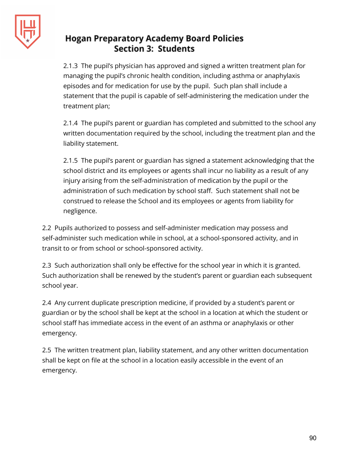

2.1.3 The pupil's physician has approved and signed a written treatment plan for managing the pupil's chronic health condition, including asthma or anaphylaxis episodes and for medication for use by the pupil. Such plan shall include a statement that the pupil is capable of self-administering the medication under the treatment plan;

2.1.4 The pupil's parent or guardian has completed and submitted to the school any written documentation required by the school, including the treatment plan and the liability statement.

2.1.5 The pupil's parent or guardian has signed a statement acknowledging that the school district and its employees or agents shall incur no liability as a result of any injury arising from the self-administration of medication by the pupil or the administration of such medication by school staff. Such statement shall not be construed to release the School and its employees or agents from liability for negligence.

2.2 Pupils authorized to possess and self-administer medication may possess and self-administer such medication while in school, at a school-sponsored activity, and in transit to or from school or school-sponsored activity.

2.3 Such authorization shall only be effective for the school year in which it is granted. Such authorization shall be renewed by the student's parent or guardian each subsequent school year.

2.4 Any current duplicate prescription medicine, if provided by a student's parent or guardian or by the school shall be kept at the school in a location at which the student or school staff has immediate access in the event of an asthma or anaphylaxis or other emergency.

2.5 The written treatment plan, liability statement, and any other written documentation shall be kept on file at the school in a location easily accessible in the event of an emergency.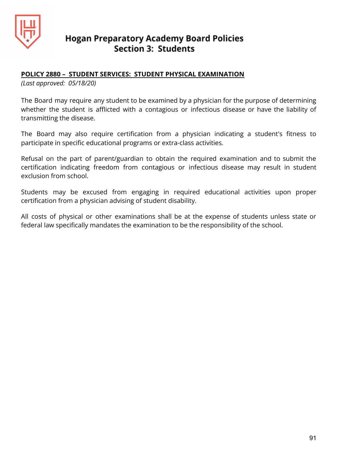

### **POLICY 2880 – STUDENT SERVICES: STUDENT PHYSICAL EXAMINATION**

*(Last approved: 05/18/20)*

The Board may require any student to be examined by a physician for the purpose of determining whether the student is afflicted with a contagious or infectious disease or have the liability of transmitting the disease.

The Board may also require certification from a physician indicating a student's fitness to participate in specific educational programs or extra-class activities.

Refusal on the part of parent/guardian to obtain the required examination and to submit the certification indicating freedom from contagious or infectious disease may result in student exclusion from school.

Students may be excused from engaging in required educational activities upon proper certification from a physician advising of student disability.

All costs of physical or other examinations shall be at the expense of students unless state or federal law specifically mandates the examination to be the responsibility of the school.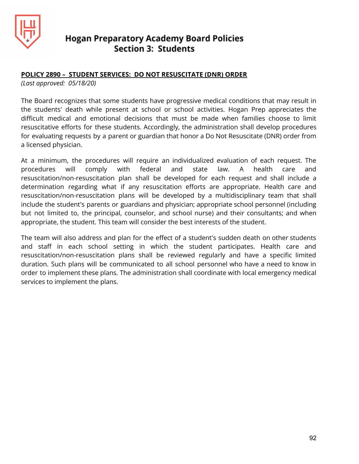

### **POLICY 2890 – STUDENT SERVICES: DO NOT RESUSCITATE (DNR) ORDER**

*(Last approved: 05/18/20)*

The Board recognizes that some students have progressive medical conditions that may result in the students' death while present at school or school activities. Hogan Prep appreciates the difficult medical and emotional decisions that must be made when families choose to limit resuscitative efforts for these students. Accordingly, the administration shall develop procedures for evaluating requests by a parent or guardian that honor a Do Not Resuscitate (DNR) order from a licensed physician.

At a minimum, the procedures will require an individualized evaluation of each request. The procedures will comply with federal and state law. A health care and resuscitation/non-resuscitation plan shall be developed for each request and shall include a determination regarding what if any resuscitation efforts are appropriate. Health care and resuscitation/non-resuscitation plans will be developed by a multidisciplinary team that shall include the student's parents or guardians and physician; appropriate school personnel (including but not limited to, the principal, counselor, and school nurse) and their consultants; and when appropriate, the student. This team will consider the best interests of the student.

The team will also address and plan for the effect of a student's sudden death on other students and staff in each school setting in which the student participates. Health care and resuscitation/non-resuscitation plans shall be reviewed regularly and have a specific limited duration. Such plans will be communicated to all school personnel who have a need to know in order to implement these plans. The administration shall coordinate with local emergency medical services to implement the plans.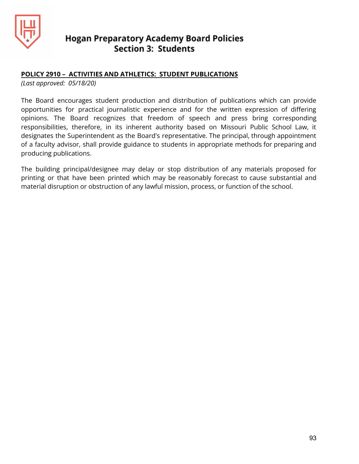

### **POLICY 2910 – ACTIVITIES AND ATHLETICS: STUDENT PUBLICATIONS**

*(Last approved: 05/18/20)*

The Board encourages student production and distribution of publications which can provide opportunities for practical journalistic experience and for the written expression of differing opinions. The Board recognizes that freedom of speech and press bring corresponding responsibilities, therefore, in its inherent authority based on Missouri Public School Law, it designates the Superintendent as the Board's representative. The principal, through appointment of a faculty advisor, shall provide guidance to students in appropriate methods for preparing and producing publications.

The building principal/designee may delay or stop distribution of any materials proposed for printing or that have been printed which may be reasonably forecast to cause substantial and material disruption or obstruction of any lawful mission, process, or function of the school.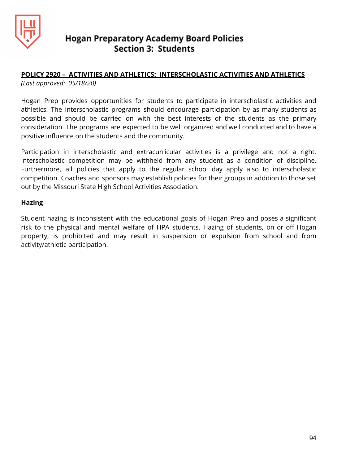

## **POLICY 2920 – ACTIVITIES AND ATHLETICS: INTERSCHOLASTIC ACTIVITIES AND ATHLETICS**

*(Last approved: 05/18/20)*

Hogan Prep provides opportunities for students to participate in interscholastic activities and athletics. The interscholastic programs should encourage participation by as many students as possible and should be carried on with the best interests of the students as the primary consideration. The programs are expected to be well organized and well conducted and to have a positive influence on the students and the community.

Participation in interscholastic and extracurricular activities is a privilege and not a right. Interscholastic competition may be withheld from any student as a condition of discipline. Furthermore, all policies that apply to the regular school day apply also to interscholastic competition. Coaches and sponsors may establish policies for their groups in addition to those set out by the Missouri State High School Activities Association.

### **Hazing**

Student hazing is inconsistent with the educational goals of Hogan Prep and poses a significant risk to the physical and mental welfare of HPA students. Hazing of students, on or off Hogan property, is prohibited and may result in suspension or expulsion from school and from activity/athletic participation.